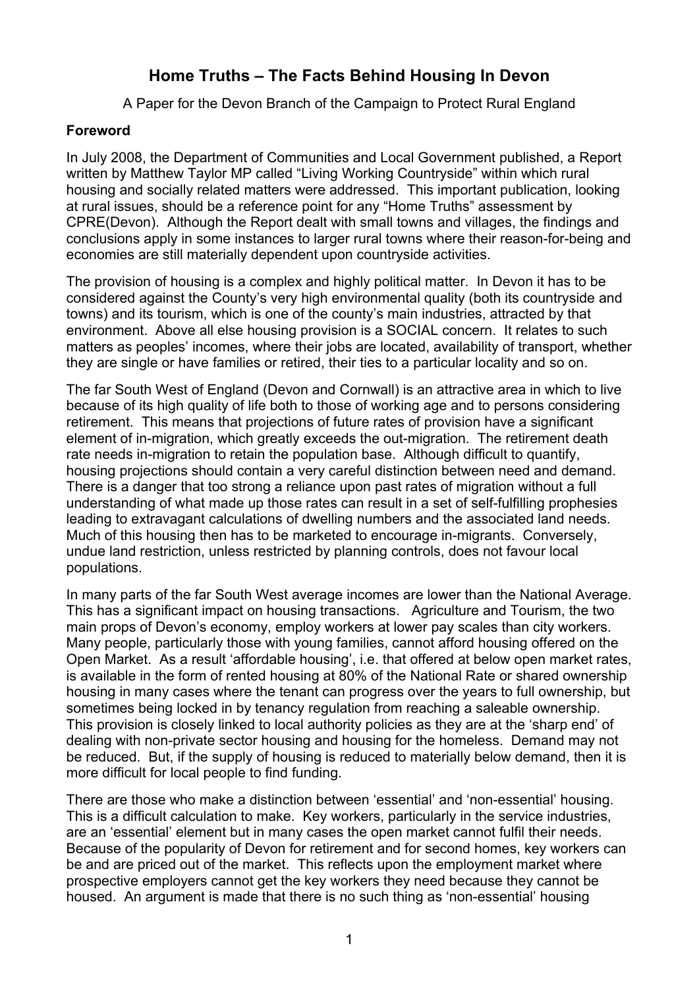# **Home Truths – The Facts Behind Housing In Devon**

A Paper for the Devon Branch of the Campaign to Protect Rural England

#### **Foreword**

In July 2008, the Department of Communities and Local Government published, a Report written by Matthew Taylor MP called "Living Working Countryside" within which rural housing and socially related matters were addressed. This important publication, looking at rural issues, should be a reference point for any "Home Truths" assessment by CPRE(Devon). Although the Report dealt with small towns and villages, the findings and conclusions apply in some instances to larger rural towns where their reason-for-being and economies are still materially dependent upon countryside activities.

The provision of housing is a complex and highly political matter. In Devon it has to be considered against the County's very high environmental quality (both its countryside and towns) and its tourism, which is one of the county's main industries, attracted by that environment. Above all else housing provision is a SOCIAL concern. It relates to such matters as peoples' incomes, where their jobs are located, availability of transport, whether they are single or have families or retired, their ties to a particular locality and so on.

The far South West of England (Devon and Cornwall) is an attractive area in which to live because of its high quality of life both to those of working age and to persons considering retirement. This means that projections of future rates of provision have a significant element of in-migration, which greatly exceeds the out-migration. The retirement death rate needs in-migration to retain the population base. Although difficult to quantify, housing projections should contain a very careful distinction between need and demand. There is a danger that too strong a reliance upon past rates of migration without a full understanding of what made up those rates can result in a set of self-fulfilling prophesies leading to extravagant calculations of dwelling numbers and the associated land needs. Much of this housing then has to be marketed to encourage in-migrants. Conversely, undue land restriction, unless restricted by planning controls, does not favour local populations.

In many parts of the far South West average incomes are lower than the National Average. This has a significant impact on housing transactions. Agriculture and Tourism, the two main props of Devon's economy, employ workers at lower pay scales than city workers. Many people, particularly those with young families, cannot afford housing offered on the Open Market. As a result 'affordable housing', i.e. that offered at below open market rates, is available in the form of rented housing at 80% of the National Rate or shared ownership housing in many cases where the tenant can progress over the years to full ownership, but sometimes being locked in by tenancy regulation from reaching a saleable ownership. This provision is closely linked to local authority policies as they are at the 'sharp end' of dealing with non-private sector housing and housing for the homeless. Demand may not be reduced. But, if the supply of housing is reduced to materially below demand, then it is more difficult for local people to find funding.

There are those who make a distinction between 'essential' and 'non-essential' housing. This is a difficult calculation to make. Key workers, particularly in the service industries, are an 'essential' element but in many cases the open market cannot fulfil their needs. Because of the popularity of Devon for retirement and for second homes, key workers can be and are priced out of the market. This reflects upon the employment market where prospective employers cannot get the key workers they need because they cannot be housed. An argument is made that there is no such thing as 'non-essential' housing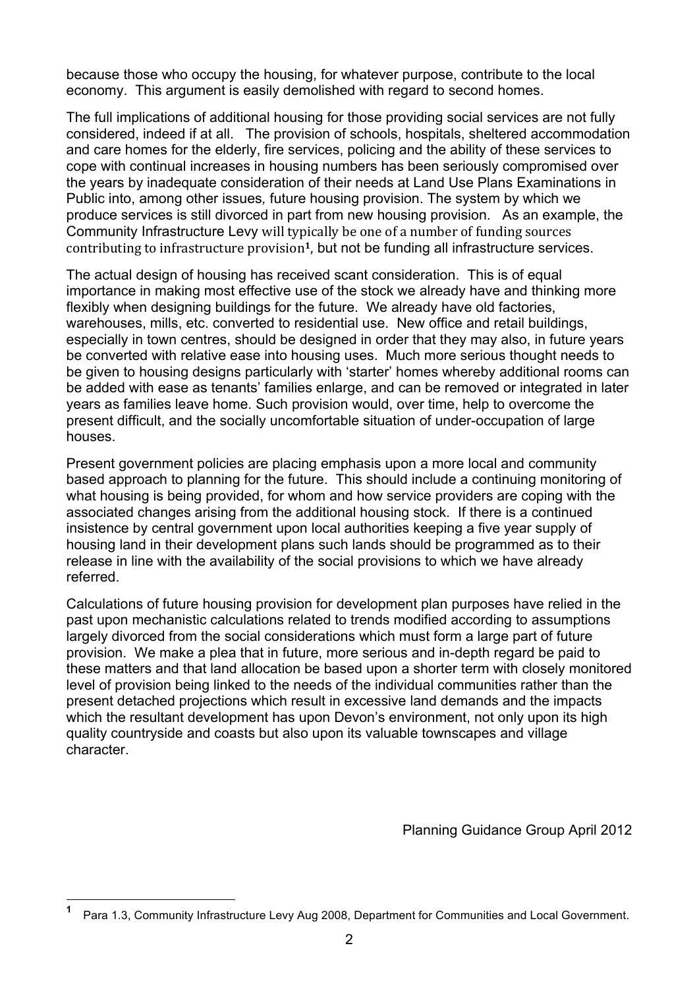because those who occupy the housing, for whatever purpose, contribute to the local economy. This argument is easily demolished with regard to second homes.

The full implications of additional housing for those providing social services are not fully considered, indeed if at all. The provision of schools, hospitals, sheltered accommodation and care homes for the elderly, fire services, policing and the ability of these services to cope with continual increases in housing numbers has been seriously compromised over the years by inadequate consideration of their needs at Land Use Plans Examinations in Public into, among other issues*,* future housing provision. The system by which we produce services is still divorced in part from new housing provision. As an example, the Community Infrastructure Levy will typically be one of a number of funding sources contributing to infrastructure provision<sup>1</sup>, but not be funding all infrastructure services.

The actual design of housing has received scant consideration. This is of equal importance in making most effective use of the stock we already have and thinking more flexibly when designing buildings for the future. We already have old factories, warehouses, mills, etc. converted to residential use. New office and retail buildings, especially in town centres, should be designed in order that they may also, in future years be converted with relative ease into housing uses. Much more serious thought needs to be given to housing designs particularly with 'starter' homes whereby additional rooms can be added with ease as tenants' families enlarge, and can be removed or integrated in later years as families leave home. Such provision would, over time, help to overcome the present difficult, and the socially uncomfortable situation of under-occupation of large houses.

Present government policies are placing emphasis upon a more local and community based approach to planning for the future. This should include a continuing monitoring of what housing is being provided, for whom and how service providers are coping with the associated changes arising from the additional housing stock. If there is a continued insistence by central government upon local authorities keeping a five year supply of housing land in their development plans such lands should be programmed as to their release in line with the availability of the social provisions to which we have already referred.

Calculations of future housing provision for development plan purposes have relied in the past upon mechanistic calculations related to trends modified according to assumptions largely divorced from the social considerations which must form a large part of future provision. We make a plea that in future, more serious and in-depth regard be paid to these matters and that land allocation be based upon a shorter term with closely monitored level of provision being linked to the needs of the individual communities rather than the present detached projections which result in excessive land demands and the impacts which the resultant development has upon Devon's environment, not only upon its high quality countryside and coasts but also upon its valuable townscapes and village character.

Planning Guidance Group April 2012

**1** Para 1.3, Community Infrastructure Levy Aug 2008, Department for Communities and Local Government.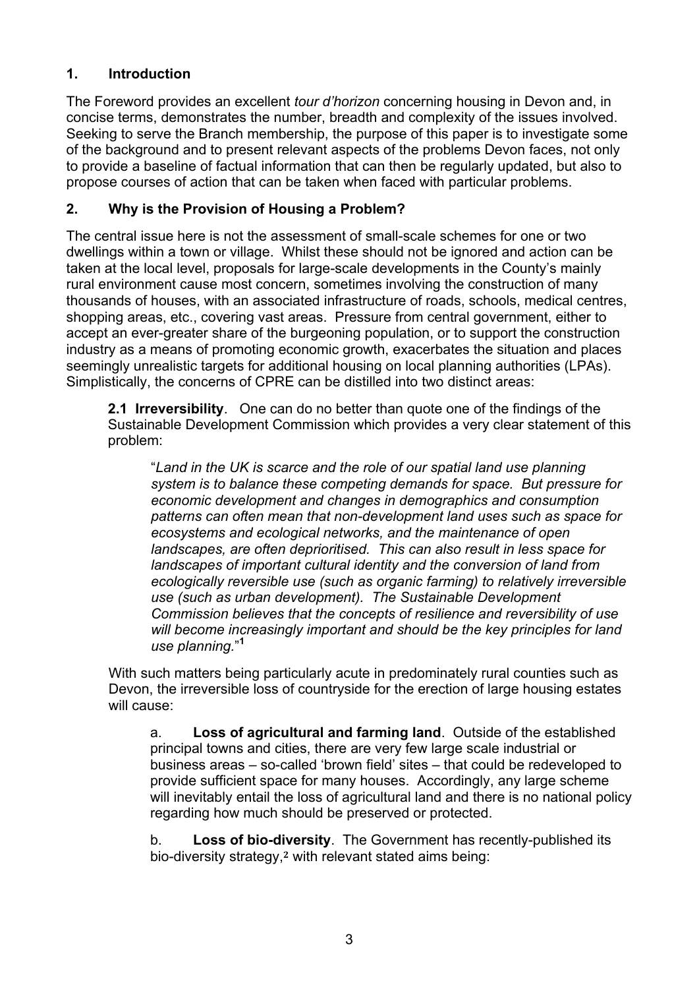# **1. Introduction**

The Foreword provides an excellent *tour d'horizon* concerning housing in Devon and, in concise terms, demonstrates the number, breadth and complexity of the issues involved. Seeking to serve the Branch membership, the purpose of this paper is to investigate some of the background and to present relevant aspects of the problems Devon faces, not only to provide a baseline of factual information that can then be regularly updated, but also to propose courses of action that can be taken when faced with particular problems.

### **2. Why is the Provision of Housing a Problem?**

The central issue here is not the assessment of small-scale schemes for one or two dwellings within a town or village. Whilst these should not be ignored and action can be taken at the local level, proposals for large-scale developments in the County's mainly rural environment cause most concern, sometimes involving the construction of many thousands of houses, with an associated infrastructure of roads, schools, medical centres, shopping areas, etc., covering vast areas. Pressure from central government, either to accept an ever-greater share of the burgeoning population, or to support the construction industry as a means of promoting economic growth, exacerbates the situation and places seemingly unrealistic targets for additional housing on local planning authorities (LPAs). Simplistically, the concerns of CPRE can be distilled into two distinct areas:

**2.1 Irreversibility**. One can do no better than quote one of the findings of the Sustainable Development Commission which provides a very clear statement of this problem:

"*Land in the UK is scarce and the role of our spatial land use planning system is to balance these competing demands for space. But pressure for economic development and changes in demographics and consumption patterns can often mean that non-development land uses such as space for ecosystems and ecological networks, and the maintenance of open landscapes, are often deprioritised. This can also result in less space for landscapes of important cultural identity and the conversion of land from ecologically reversible use (such as organic farming) to relatively irreversible use (such as urban development). The Sustainable Development Commission believes that the concepts of resilience and reversibility of use will become increasingly important and should be the key principles for land use planning.*" **1**

With such matters being particularly acute in predominately rural counties such as Devon, the irreversible loss of countryside for the erection of large housing estates will cause:

a. **Loss of agricultural and farming land**. Outside of the established principal towns and cities, there are very few large scale industrial or business areas – so-called 'brown field' sites – that could be redeveloped to provide sufficient space for many houses. Accordingly, any large scheme will inevitably entail the loss of agricultural land and there is no national policy regarding how much should be preserved or protected.

b. **Loss of bio-diversity**. The Government has recently-published its bio-diversity strategy,**<sup>2</sup>** with relevant stated aims being: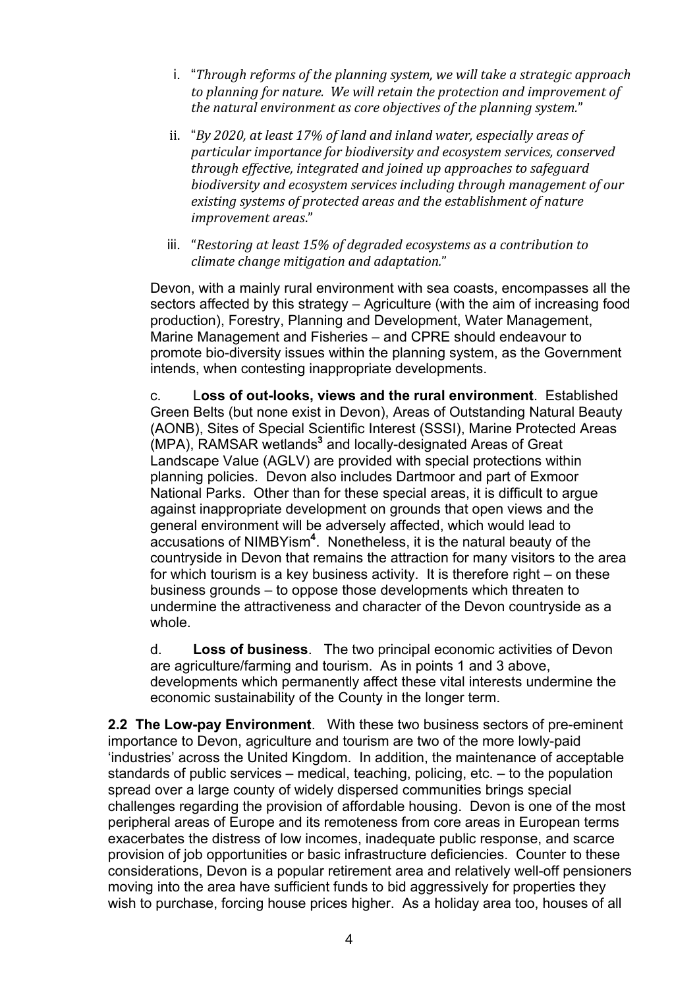- i. "*Through'reforms'of'the'planning'system,'we'will'take'a'strategic'approach'* to planning for nature. We will retain the protection and improvement of *the'natural'environment'as'core'objectives'of'the'planning'system.*"
- ii. "*By 2020, at least 17% of land and inland water, especially areas of particular'importance'for'biodiversity'and'ecosystem'services,'conserved' through'effective,'integrated and'joined'up'approaches'to'safeguard' biodiversity'and'ecosystem'services'including'through'management'of'our'* existing systems of protected areas and the establishment of nature *improvement'areas*."
- iii. "Restoring at least 15% of degraded ecosystems as a contribution to *climate'change'mitigation'and'adaptation.*"

Devon, with a mainly rural environment with sea coasts, encompasses all the sectors affected by this strategy – Agriculture (with the aim of increasing food production), Forestry, Planning and Development, Water Management, Marine Management and Fisheries – and CPRE should endeavour to promote bio-diversity issues within the planning system, as the Government intends, when contesting inappropriate developments.

c. L**oss of out-looks, views and the rural environment**. Established Green Belts (but none exist in Devon), Areas of Outstanding Natural Beauty (AONB), Sites of Special Scientific Interest (SSSI), Marine Protected Areas (MPA), RAMSAR wetlands**<sup>3</sup>** and locally-designated Areas of Great Landscape Value (AGLV) are provided with special protections within planning policies. Devon also includes Dartmoor and part of Exmoor National Parks. Other than for these special areas, it is difficult to argue against inappropriate development on grounds that open views and the general environment will be adversely affected, which would lead to accusations of NIMBYism**<sup>4</sup>** . Nonetheless, it is the natural beauty of the countryside in Devon that remains the attraction for many visitors to the area for which tourism is a key business activity. It is therefore right – on these business grounds – to oppose those developments which threaten to undermine the attractiveness and character of the Devon countryside as a whole.

d. **Loss of business**. The two principal economic activities of Devon are agriculture/farming and tourism. As in points 1 and 3 above, developments which permanently affect these vital interests undermine the economic sustainability of the County in the longer term.

**2.2 The Low-pay Environment**. With these two business sectors of pre-eminent importance to Devon, agriculture and tourism are two of the more lowly-paid 'industries' across the United Kingdom. In addition, the maintenance of acceptable standards of public services – medical, teaching, policing, etc. – to the population spread over a large county of widely dispersed communities brings special challenges regarding the provision of affordable housing. Devon is one of the most peripheral areas of Europe and its remoteness from core areas in European terms exacerbates the distress of low incomes, inadequate public response, and scarce provision of job opportunities or basic infrastructure deficiencies. Counter to these considerations, Devon is a popular retirement area and relatively well-off pensioners moving into the area have sufficient funds to bid aggressively for properties they wish to purchase, forcing house prices higher. As a holiday area too, houses of all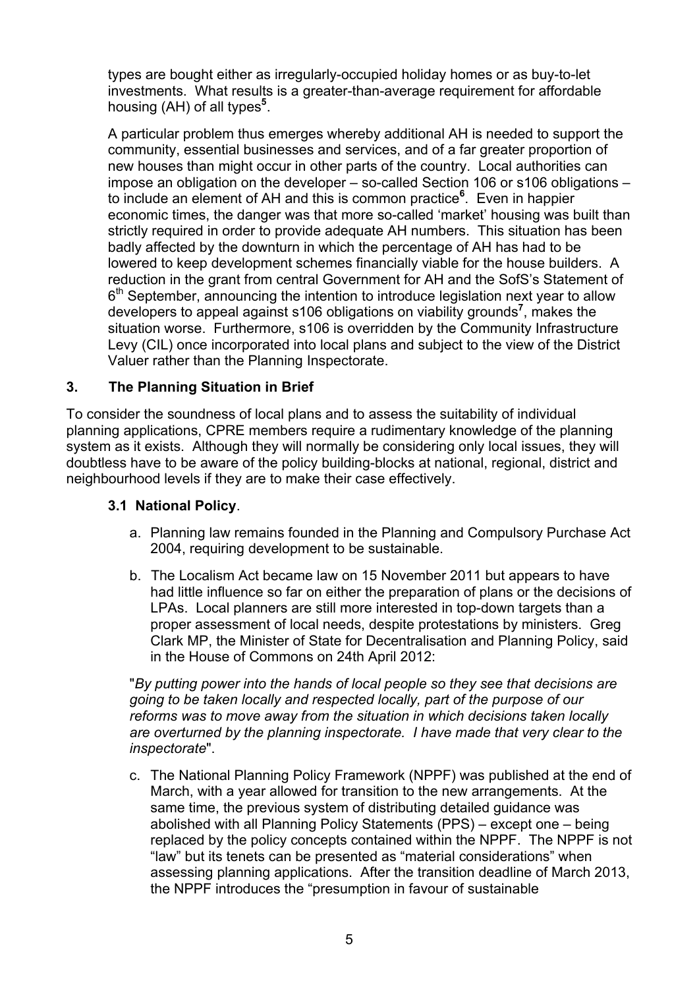types are bought either as irregularly-occupied holiday homes or as buy-to-let investments. What results is a greater-than-average requirement for affordable housing (AH) of all types<sup>5</sup>.

A particular problem thus emerges whereby additional AH is needed to support the community, essential businesses and services, and of a far greater proportion of new houses than might occur in other parts of the country. Local authorities can impose an obligation on the developer – so-called Section 106 or s106 obligations – to include an element of AH and this is common practice**<sup>6</sup>** . Even in happier economic times, the danger was that more so-called 'market' housing was built than strictly required in order to provide adequate AH numbers. This situation has been badly affected by the downturn in which the percentage of AH has had to be lowered to keep development schemes financially viable for the house builders. A reduction in the grant from central Government for AH and the SofS's Statement of  $6<sup>th</sup>$  September, announcing the intention to introduce legislation next year to allow developers to appeal against s106 obligations on viability grounds**<sup>7</sup>** , makes the situation worse. Furthermore, s106 is overridden by the Community Infrastructure Levy (CIL) once incorporated into local plans and subject to the view of the District Valuer rather than the Planning Inspectorate.

# **3. The Planning Situation in Brief**

To consider the soundness of local plans and to assess the suitability of individual planning applications, CPRE members require a rudimentary knowledge of the planning system as it exists. Although they will normally be considering only local issues, they will doubtless have to be aware of the policy building-blocks at national, regional, district and neighbourhood levels if they are to make their case effectively.

#### **3.1 National Policy**.

- a. Planning law remains founded in the Planning and Compulsory Purchase Act 2004, requiring development to be sustainable.
- b. The Localism Act became law on 15 November 2011 but appears to have had little influence so far on either the preparation of plans or the decisions of LPAs. Local planners are still more interested in top-down targets than a proper assessment of local needs, despite protestations by ministers. Greg Clark MP, the Minister of State for Decentralisation and Planning Policy, said in the House of Commons on 24th April 2012:

"*By putting power into the hands of local people so they see that decisions are going to be taken locally and respected locally, part of the purpose of our reforms was to move away from the situation in which decisions taken locally are overturned by the planning inspectorate. I have made that very clear to the inspectorate*".

c. The National Planning Policy Framework (NPPF) was published at the end of March, with a year allowed for transition to the new arrangements. At the same time, the previous system of distributing detailed guidance was abolished with all Planning Policy Statements (PPS) – except one – being replaced by the policy concepts contained within the NPPF. The NPPF is not "law" but its tenets can be presented as "material considerations" when assessing planning applications. After the transition deadline of March 2013, the NPPF introduces the "presumption in favour of sustainable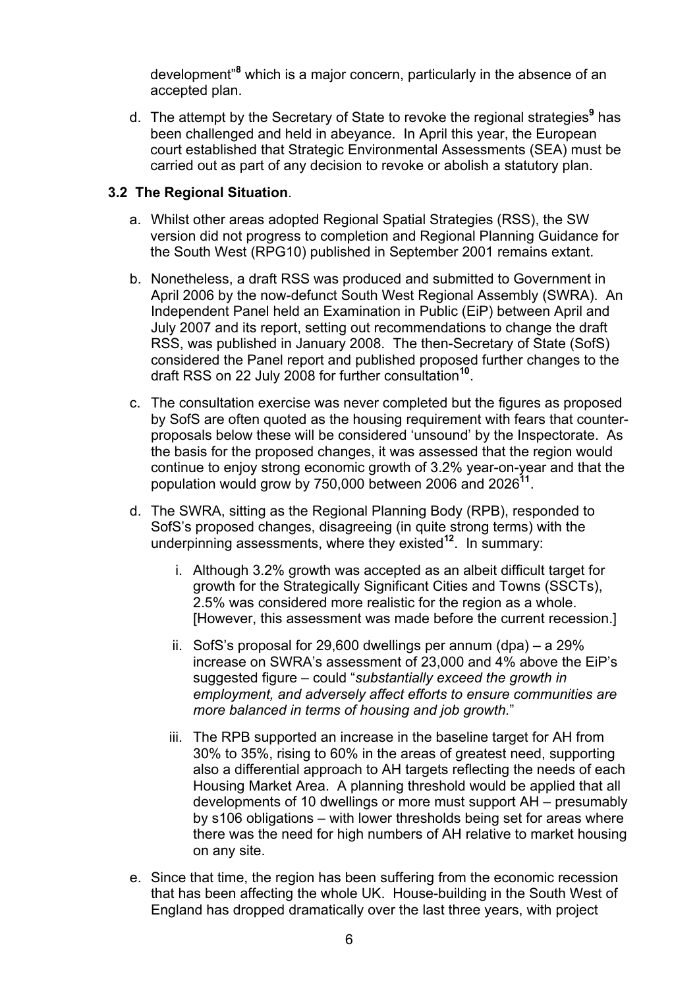development"**<sup>8</sup>** which is a major concern, particularly in the absence of an accepted plan.

d. The attempt by the Secretary of State to revoke the regional strategies**<sup>9</sup>** has been challenged and held in abeyance. In April this year, the European court established that Strategic Environmental Assessments (SEA) must be carried out as part of any decision to revoke or abolish a statutory plan.

#### **3.2 The Regional Situation**.

- a. Whilst other areas adopted Regional Spatial Strategies (RSS), the SW version did not progress to completion and Regional Planning Guidance for the South West (RPG10) published in September 2001 remains extant.
- b. Nonetheless, a draft RSS was produced and submitted to Government in April 2006 by the now-defunct South West Regional Assembly (SWRA). An Independent Panel held an Examination in Public (EiP) between April and July 2007 and its report, setting out recommendations to change the draft RSS, was published in January 2008. The then-Secretary of State (SofS) considered the Panel report and published proposed further changes to the draft RSS on 22 July 2008 for further consultation**<sup>10</sup>**.
- c. The consultation exercise was never completed but the figures as proposed by SofS are often quoted as the housing requirement with fears that counterproposals below these will be considered 'unsound' by the Inspectorate. As the basis for the proposed changes, it was assessed that the region would continue to enjoy strong economic growth of 3.2% year-on-year and that the population would grow by 750,000 between 2006 and 2026**<sup>11</sup>**.
- d. The SWRA, sitting as the Regional Planning Body (RPB), responded to SofS's proposed changes, disagreeing (in quite strong terms) with the underpinning assessments, where they existed**<sup>12</sup>**. In summary:
	- i. Although 3.2% growth was accepted as an albeit difficult target for growth for the Strategically Significant Cities and Towns (SSCTs), 2.5% was considered more realistic for the region as a whole. [However, this assessment was made before the current recession.]
	- ii. SofS's proposal for 29,600 dwellings per annum (dpa) a 29% increase on SWRA's assessment of 23,000 and 4% above the EiP's suggested figure – could "*substantially exceed the growth in employment, and adversely affect efforts to ensure communities are more balanced in terms of housing and job growth.*"
	- iii. The RPB supported an increase in the baseline target for AH from 30% to 35%, rising to 60% in the areas of greatest need, supporting also a differential approach to AH targets reflecting the needs of each Housing Market Area. A planning threshold would be applied that all developments of 10 dwellings or more must support AH – presumably by s106 obligations – with lower thresholds being set for areas where there was the need for high numbers of AH relative to market housing on any site.
- e. Since that time, the region has been suffering from the economic recession that has been affecting the whole UK. House-building in the South West of England has dropped dramatically over the last three years, with project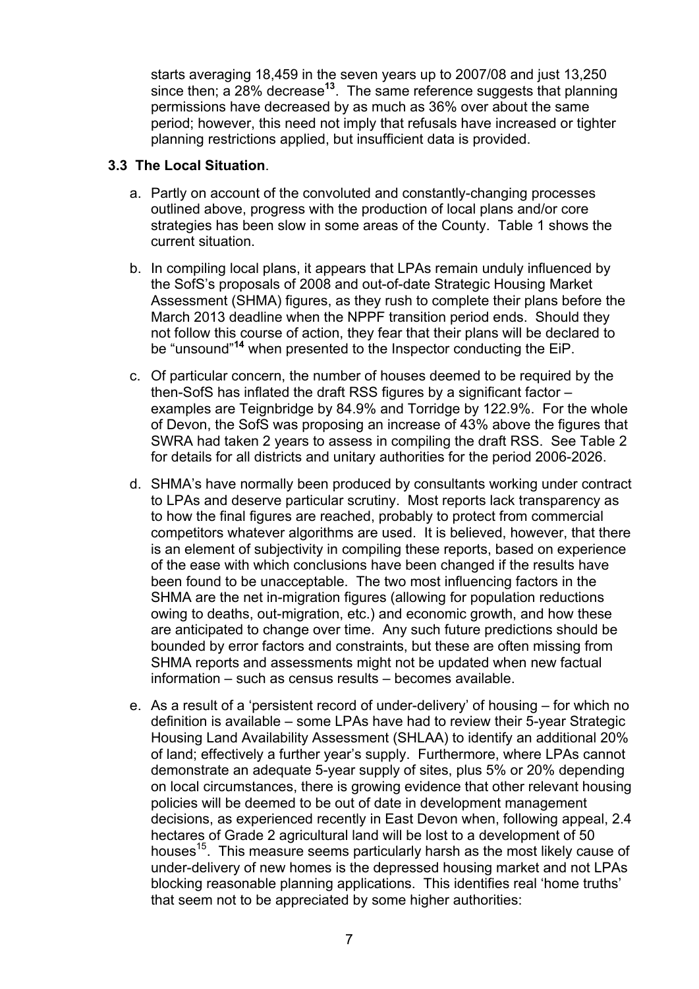starts averaging 18,459 in the seven years up to 2007/08 and just 13,250 since then; a 28% decrease**<sup>13</sup>**. The same reference suggests that planning permissions have decreased by as much as 36% over about the same period; however, this need not imply that refusals have increased or tighter planning restrictions applied, but insufficient data is provided.

#### **3.3 The Local Situation**.

- a. Partly on account of the convoluted and constantly-changing processes outlined above, progress with the production of local plans and/or core strategies has been slow in some areas of the County. Table 1 shows the current situation.
- b. In compiling local plans, it appears that LPAs remain unduly influenced by the SofS's proposals of 2008 and out-of-date Strategic Housing Market Assessment (SHMA) figures, as they rush to complete their plans before the March 2013 deadline when the NPPF transition period ends. Should they not follow this course of action, they fear that their plans will be declared to be "unsound"**<sup>14</sup>** when presented to the Inspector conducting the EiP.
- c. Of particular concern, the number of houses deemed to be required by the then-SofS has inflated the draft RSS figures by a significant factor – examples are Teignbridge by 84.9% and Torridge by 122.9%. For the whole of Devon, the SofS was proposing an increase of 43% above the figures that SWRA had taken 2 years to assess in compiling the draft RSS. See Table 2 for details for all districts and unitary authorities for the period 2006-2026.
- d. SHMA's have normally been produced by consultants working under contract to LPAs and deserve particular scrutiny. Most reports lack transparency as to how the final figures are reached, probably to protect from commercial competitors whatever algorithms are used. It is believed, however, that there is an element of subjectivity in compiling these reports, based on experience of the ease with which conclusions have been changed if the results have been found to be unacceptable. The two most influencing factors in the SHMA are the net in-migration figures (allowing for population reductions owing to deaths, out-migration, etc.) and economic growth, and how these are anticipated to change over time. Any such future predictions should be bounded by error factors and constraints, but these are often missing from SHMA reports and assessments might not be updated when new factual information – such as census results – becomes available.
- e. As a result of a 'persistent record of under-delivery' of housing for which no definition is available – some LPAs have had to review their 5-year Strategic Housing Land Availability Assessment (SHLAA) to identify an additional 20% of land; effectively a further year's supply. Furthermore, where LPAs cannot demonstrate an adequate 5-year supply of sites, plus 5% or 20% depending on local circumstances, there is growing evidence that other relevant housing policies will be deemed to be out of date in development management decisions, as experienced recently in East Devon when, following appeal, 2.4 hectares of Grade 2 agricultural land will be lost to a development of 50 houses<sup>15</sup>. This measure seems particularly harsh as the most likely cause of under-delivery of new homes is the depressed housing market and not LPAs blocking reasonable planning applications. This identifies real 'home truths' that seem not to be appreciated by some higher authorities: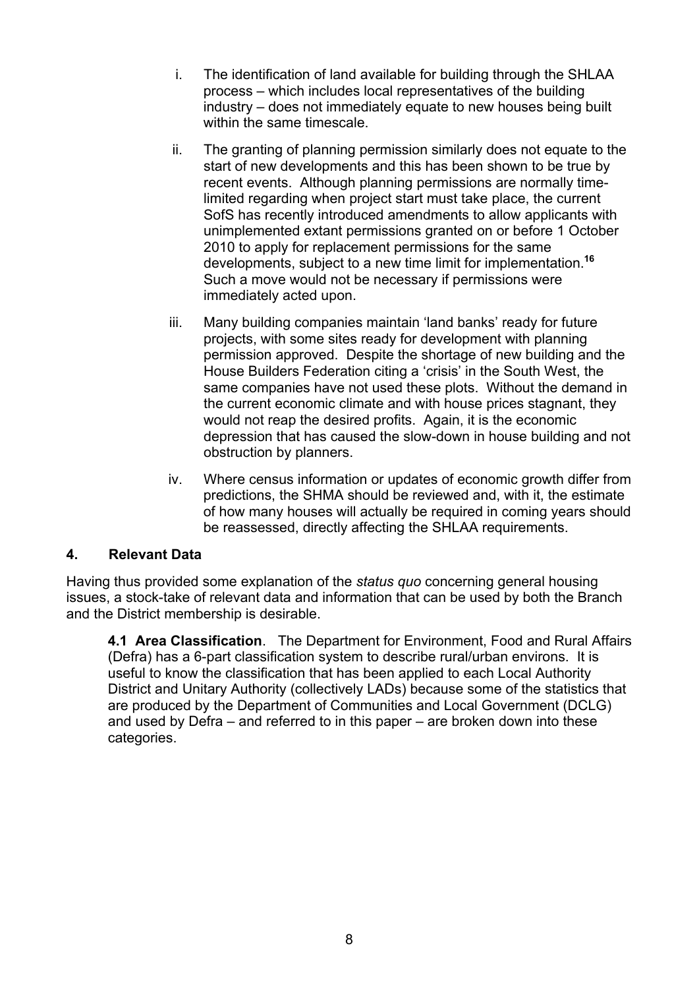- i. The identification of land available for building through the SHLAA process – which includes local representatives of the building industry – does not immediately equate to new houses being built within the same timescale.
- ii. The granting of planning permission similarly does not equate to the start of new developments and this has been shown to be true by recent events. Although planning permissions are normally timelimited regarding when project start must take place, the current SofS has recently introduced amendments to allow applicants with unimplemented extant permissions granted on or before 1 October 2010 to apply for replacement permissions for the same developments, subject to a new time limit for implementation.**<sup>16</sup>** Such a move would not be necessary if permissions were immediately acted upon.
- iii. Many building companies maintain 'land banks' ready for future projects, with some sites ready for development with planning permission approved. Despite the shortage of new building and the House Builders Federation citing a 'crisis' in the South West, the same companies have not used these plots. Without the demand in the current economic climate and with house prices stagnant, they would not reap the desired profits. Again, it is the economic depression that has caused the slow-down in house building and not obstruction by planners.
- iv. Where census information or updates of economic growth differ from predictions, the SHMA should be reviewed and, with it, the estimate of how many houses will actually be required in coming years should be reassessed, directly affecting the SHLAA requirements.

#### **4. Relevant Data**

Having thus provided some explanation of the *status quo* concerning general housing issues, a stock-take of relevant data and information that can be used by both the Branch and the District membership is desirable.

**4.1 Area Classification**. The Department for Environment, Food and Rural Affairs (Defra) has a 6-part classification system to describe rural/urban environs. It is useful to know the classification that has been applied to each Local Authority District and Unitary Authority (collectively LADs) because some of the statistics that are produced by the Department of Communities and Local Government (DCLG) and used by Defra – and referred to in this paper – are broken down into these categories.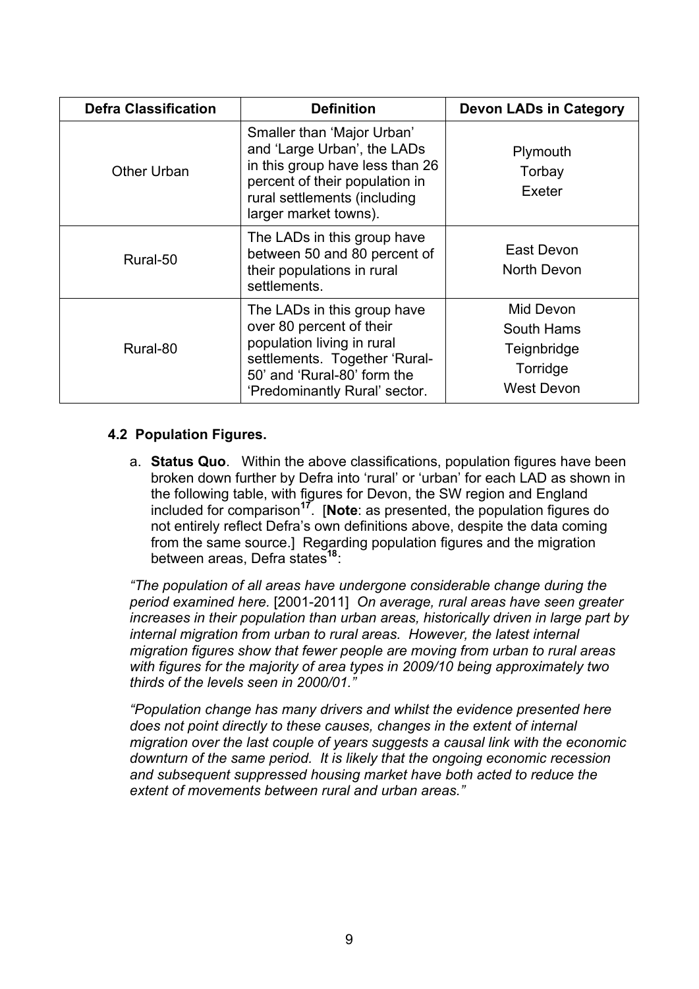| <b>Defra Classification</b> | <b>Definition</b>                                                                                                                                                                       | <b>Devon LADs in Category</b>                                           |
|-----------------------------|-----------------------------------------------------------------------------------------------------------------------------------------------------------------------------------------|-------------------------------------------------------------------------|
| Other Urban                 | Smaller than 'Major Urban'<br>and 'Large Urban', the LADs<br>in this group have less than 26<br>percent of their population in<br>rural settlements (including<br>larger market towns). | Plymouth<br>Torbay<br>Exeter                                            |
| Rural-50                    | The LADs in this group have<br>between 50 and 80 percent of<br>their populations in rural<br>settlements.                                                                               | East Devon<br>North Devon                                               |
| Rural-80                    | The LADs in this group have<br>over 80 percent of their<br>population living in rural<br>settlements. Together 'Rural-<br>50' and 'Rural-80' form the<br>'Predominantly Rural' sector.  | Mid Devon<br>South Hams<br>Teignbridge<br>Torridge<br><b>West Devon</b> |

#### **4.2 Population Figures.**

a. **Status Quo**. Within the above classifications, population figures have been broken down further by Defra into 'rural' or 'urban' for each LAD as shown in the following table, with figures for Devon, the SW region and England included for comparison**<sup>17</sup>**. [**Note**: as presented, the population figures do not entirely reflect Defra's own definitions above, despite the data coming from the same source.] Regarding population figures and the migration between areas, Defra states**<sup>18</sup>**:

*"The population of all areas have undergone considerable change during the period examined here.* [2001-2011] *On average, rural areas have seen greater increases in their population than urban areas, historically driven in large part by internal migration from urban to rural areas. However, the latest internal migration figures show that fewer people are moving from urban to rural areas with figures for the majority of area types in 2009/10 being approximately two thirds of the levels seen in 2000/01."*

*"Population change has many drivers and whilst the evidence presented here does not point directly to these causes, changes in the extent of internal migration over the last couple of years suggests a causal link with the economic downturn of the same period. It is likely that the ongoing economic recession and subsequent suppressed housing market have both acted to reduce the extent of movements between rural and urban areas."*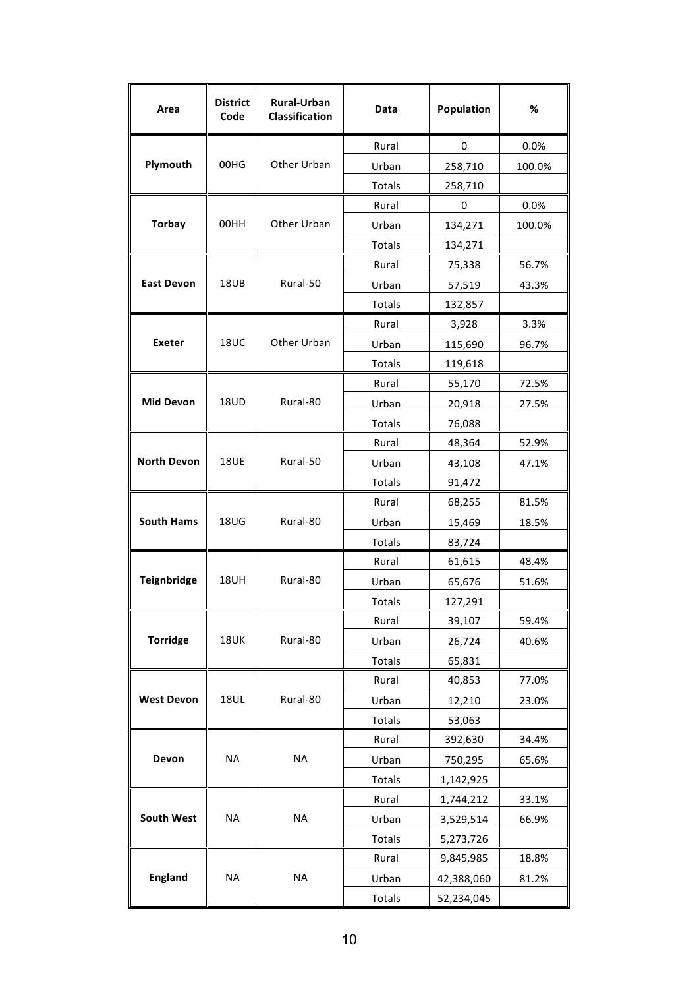| Area               | <b>District</b><br>Code | <b>Rural-Urban</b><br>Classification | Data          | Population  | %      |
|--------------------|-------------------------|--------------------------------------|---------------|-------------|--------|
|                    |                         |                                      | Rural         | $\mathbf 0$ | 0.0%   |
| Plymouth           | 00HG                    | Other Urban                          | Urban         | 258,710     | 100.0% |
|                    |                         |                                      | Totals        | 258,710     |        |
|                    |                         |                                      | Rural         | 0           | 0.0%   |
| <b>Torbay</b>      | 00HH                    | Other Urban                          | Urban         | 134,271     | 100.0% |
|                    |                         |                                      | Totals        | 134,271     |        |
|                    |                         |                                      | Rural         | 75,338      | 56.7%  |
| <b>East Devon</b>  | 18UB                    | Rural-50                             | Urban         | 57,519      | 43.3%  |
|                    |                         |                                      | Totals        | 132,857     |        |
|                    |                         |                                      | Rural         | 3,928       | 3.3%   |
| <b>Exeter</b>      | <b>18UC</b>             | Other Urban                          | Urban         | 115,690     | 96.7%  |
|                    |                         |                                      | Totals        | 119,618     |        |
|                    |                         |                                      | Rural         | 55,170      | 72.5%  |
| <b>Mid Devon</b>   | 18UD                    | Rural-80                             | Urban         | 20,918      | 27.5%  |
|                    |                         |                                      | Totals        | 76,088      |        |
|                    |                         |                                      | Rural         | 48,364      | 52.9%  |
| <b>North Devon</b> | <b>18UE</b>             | Rural-50                             | Urban         | 43,108      | 47.1%  |
|                    |                         |                                      | Totals        | 91,472      |        |
|                    |                         |                                      | Rural         | 68,255      | 81.5%  |
| <b>South Hams</b>  | <b>18UG</b>             | Rural-80                             | Urban         | 15,469      | 18.5%  |
|                    |                         |                                      | Totals        | 83,724      |        |
|                    |                         |                                      | Rural         | 61,615      | 48.4%  |
| Teignbridge        | <b>18UH</b>             | Rural-80                             | Urban         | 65,676      | 51.6%  |
|                    |                         |                                      | Totals        | 127,291     |        |
|                    |                         |                                      | Rural         | 39,107      | 59.4%  |
| <b>Torridge</b>    | <b>18UK</b>             | Rural-80                             | Urban         | 26,724      | 40.6%  |
|                    |                         |                                      | Totals        | 65,831      |        |
|                    |                         |                                      | Rural         | 40,853      | 77.0%  |
| <b>West Devon</b>  | <b>18UL</b>             | Rural-80                             | Urban         | 12,210      | 23.0%  |
|                    |                         |                                      | <b>Totals</b> | 53,063      |        |
|                    |                         |                                      | Rural         | 392,630     | 34.4%  |
| Devon              | <b>NA</b>               | <b>NA</b>                            | Urban         | 750,295     | 65.6%  |
|                    |                         |                                      | Totals        | 1,142,925   |        |
|                    |                         |                                      | Rural         | 1,744,212   | 33.1%  |
| <b>South West</b>  | <b>NA</b>               | <b>NA</b>                            | Urban         | 3,529,514   | 66.9%  |
|                    |                         |                                      | Totals        | 5,273,726   |        |
|                    |                         |                                      | Rural         | 9,845,985   | 18.8%  |
| <b>England</b>     | <b>NA</b>               | <b>NA</b>                            | Urban         | 42,388,060  | 81.2%  |
|                    |                         |                                      | Totals        | 52,234,045  |        |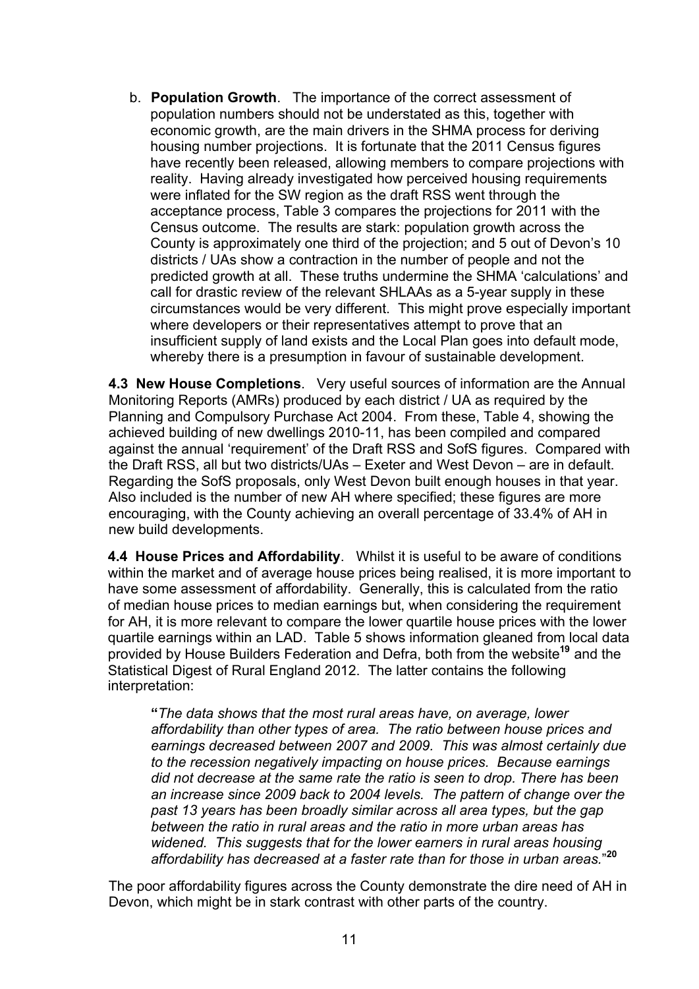b. **Population Growth**. The importance of the correct assessment of population numbers should not be understated as this, together with economic growth, are the main drivers in the SHMA process for deriving housing number projections. It is fortunate that the 2011 Census figures have recently been released, allowing members to compare projections with reality. Having already investigated how perceived housing requirements were inflated for the SW region as the draft RSS went through the acceptance process, Table 3 compares the projections for 2011 with the Census outcome. The results are stark: population growth across the County is approximately one third of the projection; and 5 out of Devon's 10 districts / UAs show a contraction in the number of people and not the predicted growth at all. These truths undermine the SHMA 'calculations' and call for drastic review of the relevant SHLAAs as a 5-year supply in these circumstances would be very different. This might prove especially important where developers or their representatives attempt to prove that an insufficient supply of land exists and the Local Plan goes into default mode, whereby there is a presumption in favour of sustainable development.

**4.3 New House Completions**. Very useful sources of information are the Annual Monitoring Reports (AMRs) produced by each district / UA as required by the Planning and Compulsory Purchase Act 2004. From these, Table 4, showing the achieved building of new dwellings 2010-11, has been compiled and compared against the annual 'requirement' of the Draft RSS and SofS figures. Compared with the Draft RSS, all but two districts/UAs – Exeter and West Devon – are in default. Regarding the SofS proposals, only West Devon built enough houses in that year. Also included is the number of new AH where specified; these figures are more encouraging, with the County achieving an overall percentage of 33.4% of AH in new build developments.

**4.4 House Prices and Affordability**. Whilst it is useful to be aware of conditions within the market and of average house prices being realised, it is more important to have some assessment of affordability. Generally, this is calculated from the ratio of median house prices to median earnings but, when considering the requirement for AH, it is more relevant to compare the lower quartile house prices with the lower quartile earnings within an LAD. Table 5 shows information gleaned from local data provided by House Builders Federation and Defra, both from the website**<sup>19</sup>** and the Statistical Digest of Rural England 2012. The latter contains the following interpretation:

**"***The data shows that the most rural areas have, on average, lower affordability than other types of area. The ratio between house prices and earnings decreased between 2007 and 2009. This was almost certainly due to the recession negatively impacting on house prices. Because earnings did not decrease at the same rate the ratio is seen to drop. There has been an increase since 2009 back to 2004 levels. The pattern of change over the past 13 years has been broadly similar across all area types, but the gap between the ratio in rural areas and the ratio in more urban areas has widened. This suggests that for the lower earners in rural areas housing affordability has decreased at a faster rate than for those in urban areas.*" **20**

The poor affordability figures across the County demonstrate the dire need of AH in Devon, which might be in stark contrast with other parts of the country.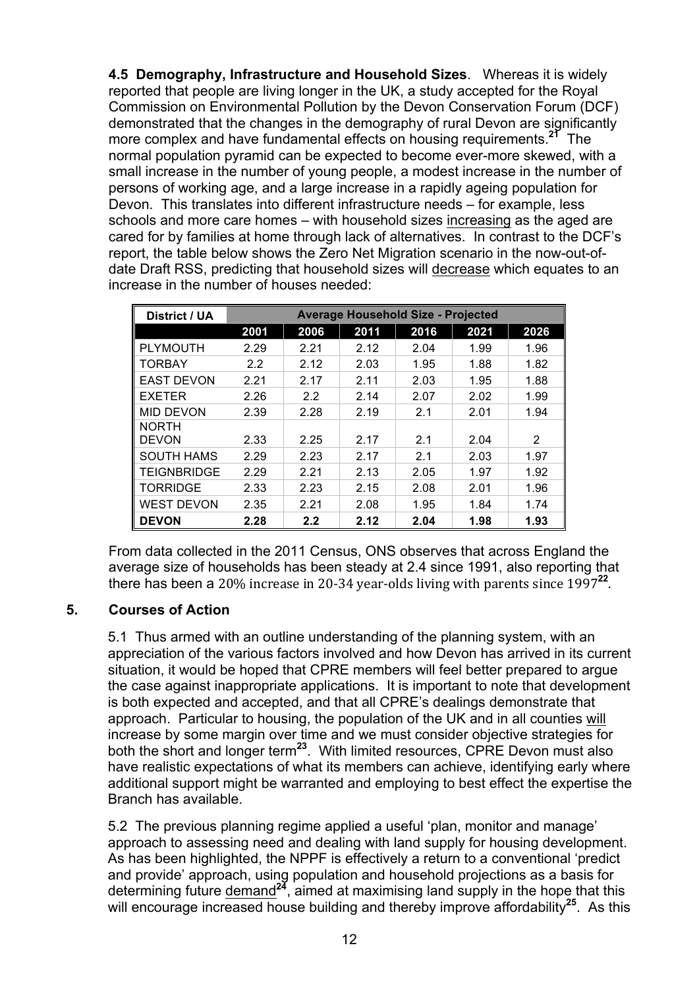**4.5 Demography, Infrastructure and Household Sizes**. Whereas it is widely reported that people are living longer in the UK, a study accepted for the Royal Commission on Environmental Pollution by the Devon Conservation Forum (DCF) demonstrated that the changes in the demography of rural Devon are significantly more complex and have fundamental effects on housing requirements.**<sup>21</sup>** The normal population pyramid can be expected to become ever-more skewed, with a small increase in the number of young people, a modest increase in the number of persons of working age, and a large increase in a rapidly ageing population for Devon. This translates into different infrastructure needs – for example, less schools and more care homes – with household sizes increasing as the aged are cared for by families at home through lack of alternatives. In contrast to the DCF's report, the table below shows the Zero Net Migration scenario in the now-out-ofdate Draft RSS, predicting that household sizes will decrease which equates to an increase in the number of houses needed:

| District / UA      | <b>Average Household Size - Projected</b> |         |      |      |      |      |  |  |  |  |  |
|--------------------|-------------------------------------------|---------|------|------|------|------|--|--|--|--|--|
|                    | 2001                                      | 2006    | 2011 | 2016 | 2021 | 2026 |  |  |  |  |  |
| <b>PLYMOUTH</b>    | 2.29                                      | 2.21    | 2.12 | 2.04 | 1.99 | 1.96 |  |  |  |  |  |
| <b>TORBAY</b>      | 2.2                                       | 2.12    | 2.03 | 1.95 | 1.88 | 1.82 |  |  |  |  |  |
| <b>EAST DEVON</b>  | 2.21                                      | 2.17    | 2.11 | 2.03 | 1.95 | 1.88 |  |  |  |  |  |
| <b>EXETER</b>      | 2.26                                      | 2.2     | 2.14 | 2.07 | 2.02 | 1.99 |  |  |  |  |  |
| <b>MID DEVON</b>   | 2.39                                      | 2.28    | 2.19 | 2.1  | 2.01 | 1.94 |  |  |  |  |  |
| <b>NORTH</b>       |                                           |         |      |      |      |      |  |  |  |  |  |
| <b>DEVON</b>       | 2.33                                      | 2.25    | 2.17 | 2.1  | 2.04 | 2    |  |  |  |  |  |
| <b>SOUTH HAMS</b>  | 2.29                                      | 2.23    | 2.17 | 2.1  | 2.03 | 1.97 |  |  |  |  |  |
| <b>TEIGNBRIDGE</b> | 2.29                                      | 2.21    | 2.13 | 2.05 | 1.97 | 1.92 |  |  |  |  |  |
| <b>TORRIDGE</b>    | 2.33                                      | 2.23    | 2.15 | 2.08 | 2.01 | 1.96 |  |  |  |  |  |
| <b>WEST DEVON</b>  | 2.35                                      | 2.21    | 2.08 | 1.95 | 1.84 | 1.74 |  |  |  |  |  |
| <b>DEVON</b>       | 2.28                                      | $2.2\,$ | 2.12 | 2.04 | 1.98 | 1.93 |  |  |  |  |  |

From data collected in the 2011 Census, ONS observes that across England the average size of households has been steady at 2.4 since 1991, also reporting that there has been a 20% increase in 20-34 year-olds living with parents since  $1997<sup>22</sup>$ .

#### **5. Courses of Action**

5.1 Thus armed with an outline understanding of the planning system, with an appreciation of the various factors involved and how Devon has arrived in its current situation, it would be hoped that CPRE members will feel better prepared to argue the case against inappropriate applications. It is important to note that development is both expected and accepted, and that all CPRE's dealings demonstrate that approach. Particular to housing, the population of the UK and in all counties will increase by some margin over time and we must consider objective strategies for both the short and longer term**<sup>23</sup>**. With limited resources, CPRE Devon must also have realistic expectations of what its members can achieve, identifying early where additional support might be warranted and employing to best effect the expertise the Branch has available.

5.2 The previous planning regime applied a useful 'plan, monitor and manage' approach to assessing need and dealing with land supply for housing development. As has been highlighted, the NPPF is effectively a return to a conventional 'predict and provide' approach, using population and household projections as a basis for determining future demand**<sup>24</sup>**, aimed at maximising land supply in the hope that this will encourage increased house building and thereby improve affordability<sup>25</sup>. As this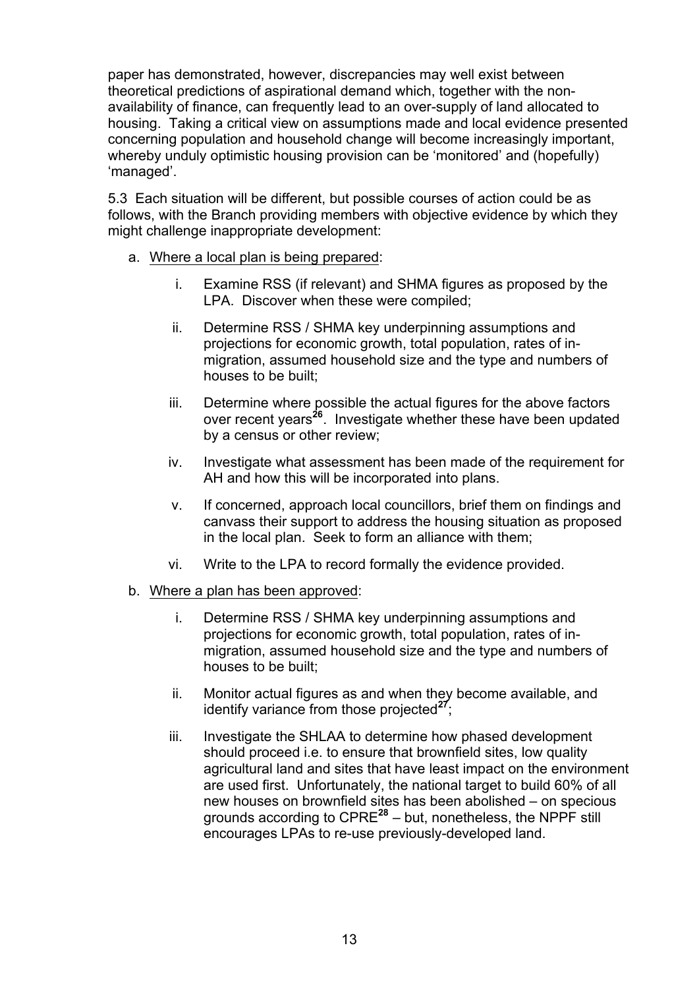paper has demonstrated, however, discrepancies may well exist between theoretical predictions of aspirational demand which, together with the nonavailability of finance, can frequently lead to an over-supply of land allocated to housing. Taking a critical view on assumptions made and local evidence presented concerning population and household change will become increasingly important, whereby unduly optimistic housing provision can be 'monitored' and (hopefully) 'managed'.

5.3 Each situation will be different, but possible courses of action could be as follows, with the Branch providing members with objective evidence by which they might challenge inappropriate development:

- a. Where a local plan is being prepared:
	- i. Examine RSS (if relevant) and SHMA figures as proposed by the LPA. Discover when these were compiled;
	- ii. Determine RSS / SHMA key underpinning assumptions and projections for economic growth, total population, rates of inmigration, assumed household size and the type and numbers of houses to be built;
	- iii. Determine where possible the actual figures for the above factors over recent years**<sup>26</sup>**. Investigate whether these have been updated by a census or other review;
	- iv. Investigate what assessment has been made of the requirement for AH and how this will be incorporated into plans.
	- v. If concerned, approach local councillors, brief them on findings and canvass their support to address the housing situation as proposed in the local plan. Seek to form an alliance with them;
	- vi. Write to the LPA to record formally the evidence provided.
- b. Where a plan has been approved:
	- i. Determine RSS / SHMA key underpinning assumptions and projections for economic growth, total population, rates of inmigration, assumed household size and the type and numbers of houses to be built;
	- ii. Monitor actual figures as and when they become available, and identify variance from those projected<sup>27</sup>;
	- iii. Investigate the SHLAA to determine how phased development should proceed i.e. to ensure that brownfield sites, low quality agricultural land and sites that have least impact on the environment are used first. Unfortunately, the national target to build 60% of all new houses on brownfield sites has been abolished – on specious grounds according to CPRE**<sup>28</sup>** – but, nonetheless, the NPPF still encourages LPAs to re-use previously-developed land.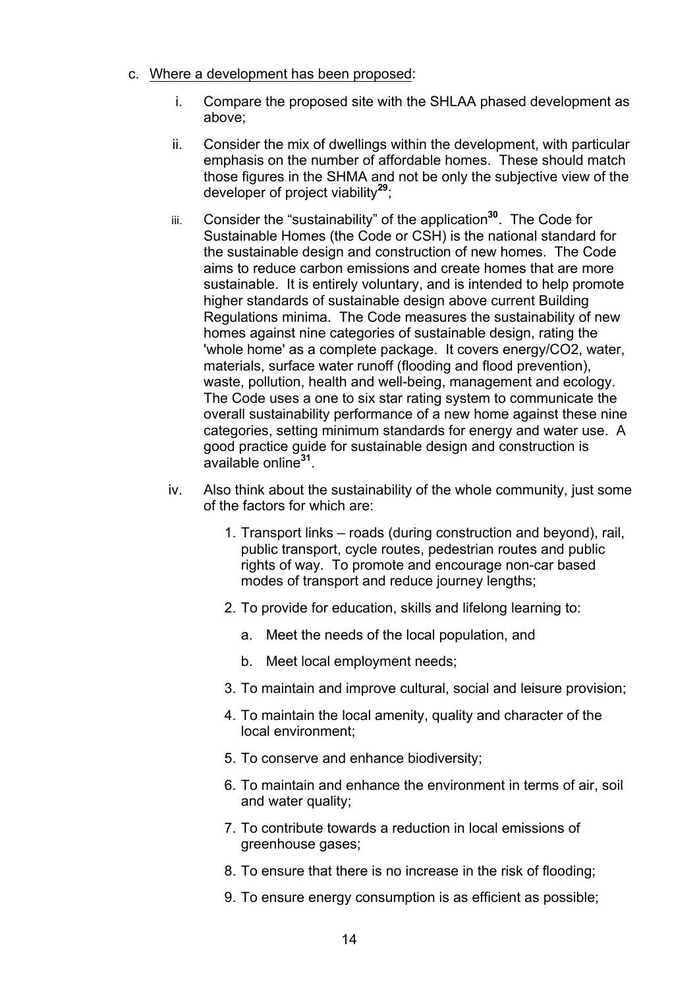- c. Where a development has been proposed:
	- i. Compare the proposed site with the SHLAA phased development as above;
	- ii. Consider the mix of dwellings within the development, with particular emphasis on the number of affordable homes. These should match those figures in the SHMA and not be only the subjective view of the developer of project viability**<sup>29</sup>**;
	- iii. Consider the "sustainability" of the application**<sup>30</sup>**. The Code for Sustainable Homes (the Code or CSH) is the national standard for the sustainable design and construction of new homes. The Code aims to reduce carbon emissions and create homes that are more sustainable. It is entirely voluntary, and is intended to help promote higher standards of sustainable design above current Building Regulations minima. The Code measures the sustainability of new homes against nine categories of sustainable design, rating the 'whole home' as a complete package. It covers energy/CO2, water, materials, surface water runoff (flooding and flood prevention), waste, pollution, health and well-being, management and ecology. The Code uses a one to six star rating system to communicate the overall sustainability performance of a new home against these nine categories, setting minimum standards for energy and water use. A good practice guide for sustainable design and construction is available online**<sup>31</sup>**.
	- iv. Also think about the sustainability of the whole community, just some of the factors for which are:
		- 1. Transport links roads (during construction and beyond), rail, public transport, cycle routes, pedestrian routes and public rights of way. To promote and encourage non-car based modes of transport and reduce journey lengths;
		- 2. To provide for education, skills and lifelong learning to:
			- a. Meet the needs of the local population, and
			- b. Meet local employment needs;
		- 3. To maintain and improve cultural, social and leisure provision;
		- 4. To maintain the local amenity, quality and character of the local environment;
		- 5. To conserve and enhance biodiversity;
		- 6. To maintain and enhance the environment in terms of air, soil and water quality;
		- 7. To contribute towards a reduction in local emissions of greenhouse gases;
		- 8. To ensure that there is no increase in the risk of flooding;
		- 9. To ensure energy consumption is as efficient as possible;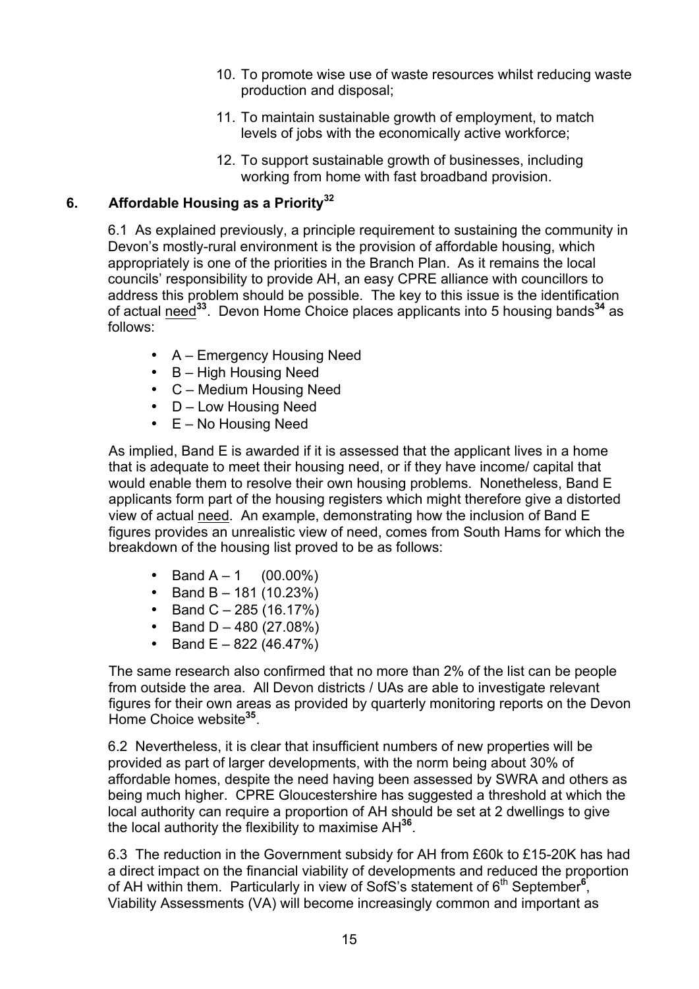- 10. To promote wise use of waste resources whilst reducing waste production and disposal;
- 11. To maintain sustainable growth of employment, to match levels of jobs with the economically active workforce;
- 12. To support sustainable growth of businesses, including working from home with fast broadband provision.

# **6. Affordable Housing as a Priority32**

6.1 As explained previously, a principle requirement to sustaining the community in Devon's mostly-rural environment is the provision of affordable housing, which appropriately is one of the priorities in the Branch Plan. As it remains the local councils' responsibility to provide AH, an easy CPRE alliance with councillors to address this problem should be possible. The key to this issue is the identification of actual need**<sup>33</sup>**. Devon Home Choice places applicants into 5 housing bands**<sup>34</sup>** as follows:

- A Emergency Housing Need
- B High Housing Need
- C Medium Housing Need
- D Low Housing Need
- E No Housing Need

As implied, Band E is awarded if it is assessed that the applicant lives in a home that is adequate to meet their housing need, or if they have income/ capital that would enable them to resolve their own housing problems. Nonetheless, Band E applicants form part of the housing registers which might therefore give a distorted view of actual need. An example, demonstrating how the inclusion of Band E figures provides an unrealistic view of need, comes from South Hams for which the breakdown of the housing list proved to be as follows:

- Band  $A 1$  (00.00%)
- Band B  $-$  181 (10.23%)
- Band C  $285 (16.17%)$
- Band  $D 480$  (27.08%)
- Band  $E 822$  (46.47%)

The same research also confirmed that no more than 2% of the list can be people from outside the area. All Devon districts / UAs are able to investigate relevant figures for their own areas as provided by quarterly monitoring reports on the Devon Home Choice website**<sup>35</sup>**.

6.2 Nevertheless, it is clear that insufficient numbers of new properties will be provided as part of larger developments, with the norm being about 30% of affordable homes, despite the need having been assessed by SWRA and others as being much higher. CPRE Gloucestershire has suggested a threshold at which the local authority can require a proportion of AH should be set at 2 dwellings to give the local authority the flexibility to maximise AH**<sup>36</sup>**.

6.3 The reduction in the Government subsidy for AH from £60k to £15-20K has had a direct impact on the financial viability of developments and reduced the proportion of AH within them. Particularly in view of SofS's statement of 6<sup>th</sup> September<sup>6</sup>, Viability Assessments (VA) will become increasingly common and important as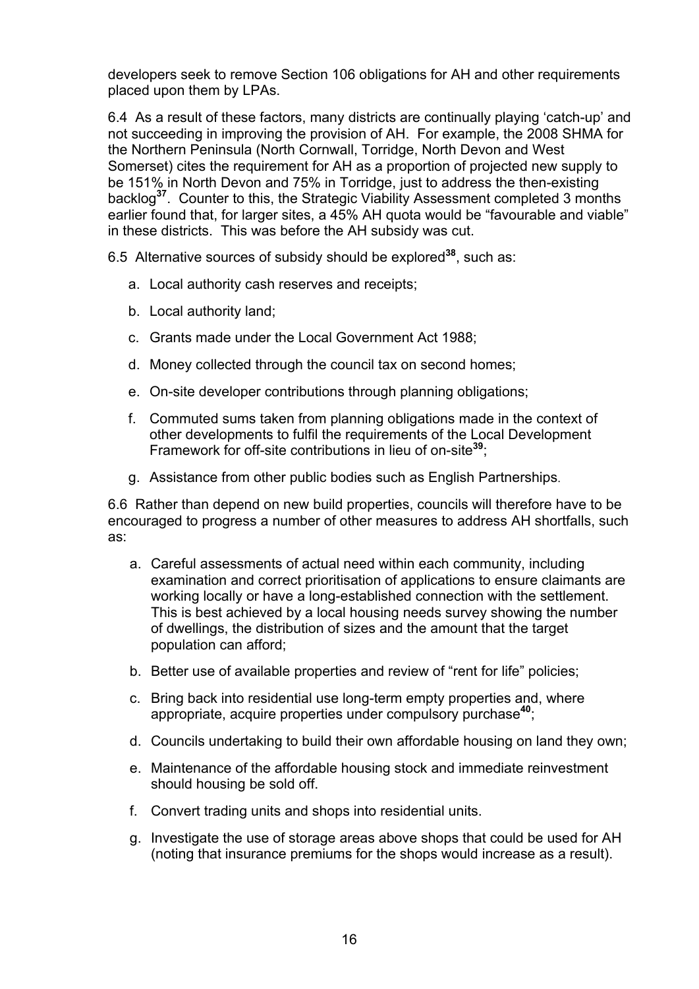developers seek to remove Section 106 obligations for AH and other requirements placed upon them by LPAs.

6.4 As a result of these factors, many districts are continually playing 'catch-up' and not succeeding in improving the provision of AH. For example, the 2008 SHMA for the Northern Peninsula (North Cornwall, Torridge, North Devon and West Somerset) cites the requirement for AH as a proportion of projected new supply to be 151% in North Devon and 75% in Torridge, just to address the then-existing backlog**<sup>37</sup>**. Counter to this, the Strategic Viability Assessment completed 3 months earlier found that, for larger sites, a 45% AH quota would be "favourable and viable" in these districts. This was before the AH subsidy was cut.

6.5 Alternative sources of subsidy should be explored**<sup>38</sup>**, such as:

- a. Local authority cash reserves and receipts;
- b. Local authority land;
- c. Grants made under the Local Government Act 1988;
- d. Money collected through the council tax on second homes;
- e. On-site developer contributions through planning obligations;
- f. Commuted sums taken from planning obligations made in the context of other developments to fulfil the requirements of the Local Development Framework for off-site contributions in lieu of on-site**<sup>39</sup>**;
- g. Assistance from other public bodies such as English Partnerships.

6.6 Rather than depend on new build properties, councils will therefore have to be encouraged to progress a number of other measures to address AH shortfalls, such as:

- a. Careful assessments of actual need within each community, including examination and correct prioritisation of applications to ensure claimants are working locally or have a long-established connection with the settlement. This is best achieved by a local housing needs survey showing the number of dwellings, the distribution of sizes and the amount that the target population can afford;
- b. Better use of available properties and review of "rent for life" policies;
- c. Bring back into residential use long-term empty properties and, where appropriate, acquire properties under compulsory purchase**<sup>40</sup>**;
- d. Councils undertaking to build their own affordable housing on land they own;
- e. Maintenance of the affordable housing stock and immediate reinvestment should housing be sold off.
- f. Convert trading units and shops into residential units.
- g. Investigate the use of storage areas above shops that could be used for AH (noting that insurance premiums for the shops would increase as a result).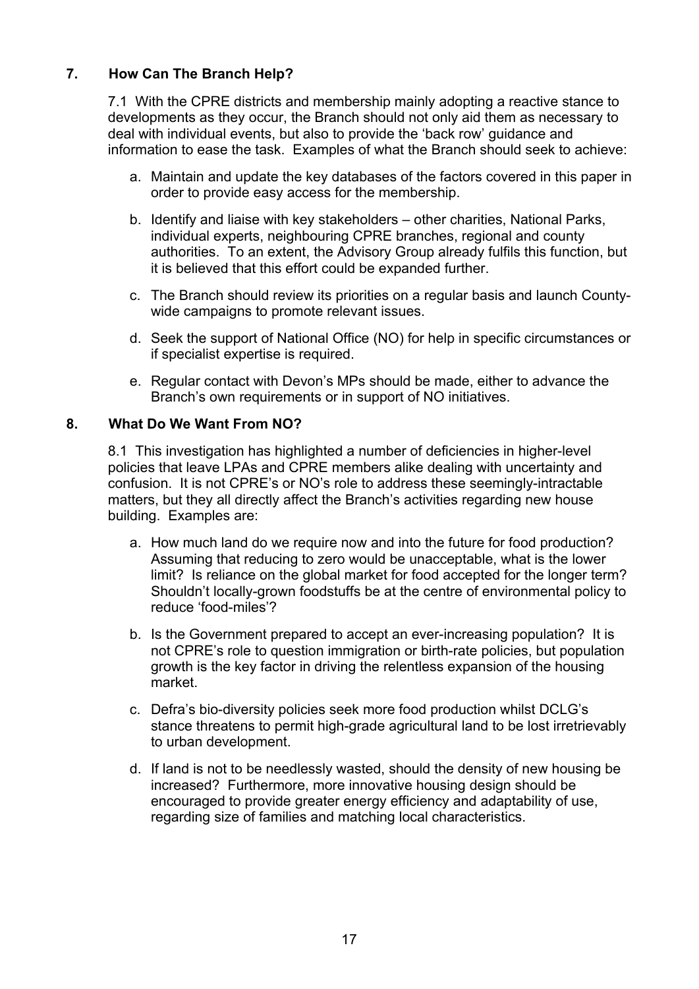# **7. How Can The Branch Help?**

7.1 With the CPRE districts and membership mainly adopting a reactive stance to developments as they occur, the Branch should not only aid them as necessary to deal with individual events, but also to provide the 'back row' guidance and information to ease the task. Examples of what the Branch should seek to achieve:

- a. Maintain and update the key databases of the factors covered in this paper in order to provide easy access for the membership.
- b. Identify and liaise with key stakeholders other charities, National Parks, individual experts, neighbouring CPRE branches, regional and county authorities. To an extent, the Advisory Group already fulfils this function, but it is believed that this effort could be expanded further.
- c. The Branch should review its priorities on a regular basis and launch Countywide campaigns to promote relevant issues.
- d. Seek the support of National Office (NO) for help in specific circumstances or if specialist expertise is required.
- e. Regular contact with Devon's MPs should be made, either to advance the Branch's own requirements or in support of NO initiatives.

#### **8. What Do We Want From NO?**

8.1 This investigation has highlighted a number of deficiencies in higher-level policies that leave LPAs and CPRE members alike dealing with uncertainty and confusion. It is not CPRE's or NO's role to address these seemingly-intractable matters, but they all directly affect the Branch's activities regarding new house building. Examples are:

- a. How much land do we require now and into the future for food production? Assuming that reducing to zero would be unacceptable, what is the lower limit? Is reliance on the global market for food accepted for the longer term? Shouldn't locally-grown foodstuffs be at the centre of environmental policy to reduce 'food-miles'?
- b. Is the Government prepared to accept an ever-increasing population? It is not CPRE's role to question immigration or birth-rate policies, but population growth is the key factor in driving the relentless expansion of the housing market.
- c. Defra's bio-diversity policies seek more food production whilst DCLG's stance threatens to permit high-grade agricultural land to be lost irretrievably to urban development.
- d. If land is not to be needlessly wasted, should the density of new housing be increased? Furthermore, more innovative housing design should be encouraged to provide greater energy efficiency and adaptability of use, regarding size of families and matching local characteristics.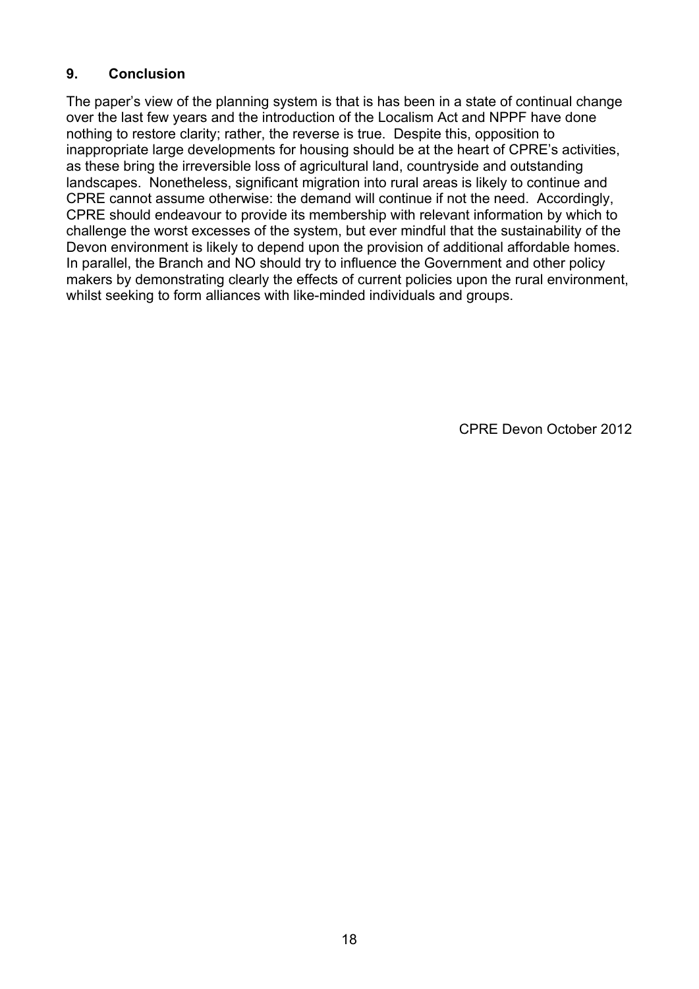#### **9. Conclusion**

The paper's view of the planning system is that is has been in a state of continual change over the last few years and the introduction of the Localism Act and NPPF have done nothing to restore clarity; rather, the reverse is true. Despite this, opposition to inappropriate large developments for housing should be at the heart of CPRE's activities, as these bring the irreversible loss of agricultural land, countryside and outstanding landscapes. Nonetheless, significant migration into rural areas is likely to continue and CPRE cannot assume otherwise: the demand will continue if not the need. Accordingly, CPRE should endeavour to provide its membership with relevant information by which to challenge the worst excesses of the system, but ever mindful that the sustainability of the Devon environment is likely to depend upon the provision of additional affordable homes. In parallel, the Branch and NO should try to influence the Government and other policy makers by demonstrating clearly the effects of current policies upon the rural environment, whilst seeking to form alliances with like-minded individuals and groups.

CPRE Devon October 2012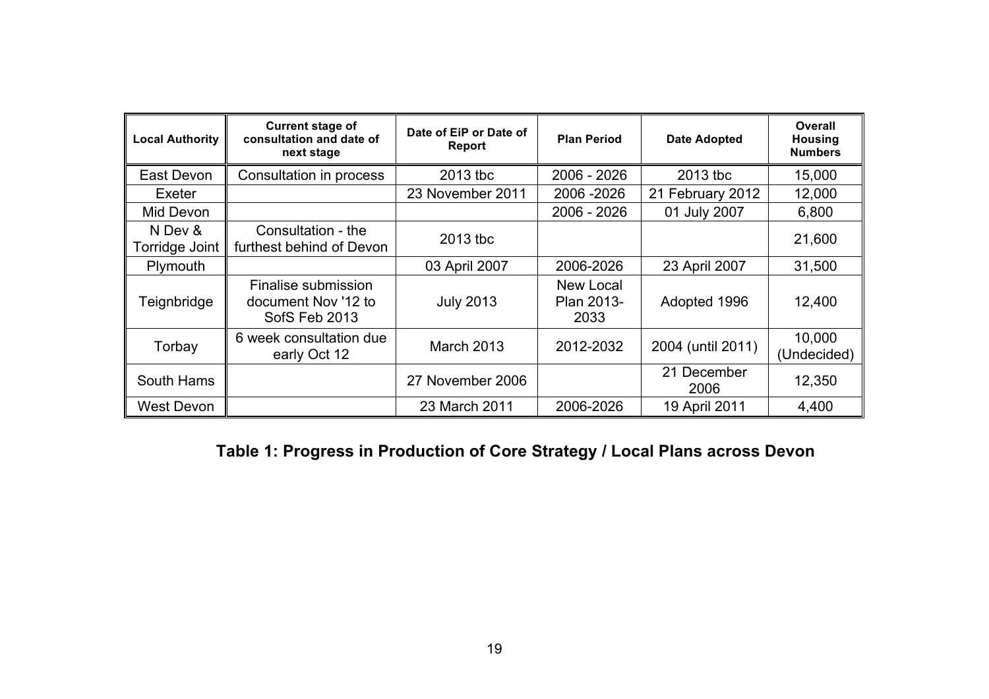| <b>Local Authority</b>    | <b>Current stage of</b><br>consultation and date of<br>next stage | Date of EiP or Date of<br>Report | <b>Plan Period</b>              | <b>Date Adopted</b> | Overall<br><b>Housing</b><br><b>Numbers</b> |
|---------------------------|-------------------------------------------------------------------|----------------------------------|---------------------------------|---------------------|---------------------------------------------|
| East Devon                | Consultation in process                                           | 2013 tbc                         | 2006 - 2026                     | 2013 tbc            | 15,000                                      |
| Exeter                    |                                                                   | 23 November 2011                 | 2006 - 2026                     | 21 February 2012    | 12,000                                      |
| Mid Devon                 |                                                                   |                                  | 2006 - 2026                     | 01 July 2007        | 6,800                                       |
| N Dev &<br>Torridge Joint | Consultation - the<br>furthest behind of Devon                    | 2013 tbc                         |                                 |                     | 21,600                                      |
| Plymouth                  |                                                                   | 03 April 2007                    | 2006-2026                       | 23 April 2007       | 31,500                                      |
| Teignbridge               | Finalise submission<br>document Nov '12 to<br>SofS Feb 2013       | <b>July 2013</b>                 | New Local<br>Plan 2013-<br>2033 | Adopted 1996        | 12,400                                      |
| Torbay                    | 6 week consultation due<br>early Oct 12                           | <b>March 2013</b>                | 2012-2032                       | 2004 (until 2011)   | 10,000<br>(Undecided)                       |
| South Hams                |                                                                   | 27 November 2006                 |                                 | 21 December<br>2006 | 12,350                                      |
| West Devon                |                                                                   | 23 March 2011                    | 2006-2026                       | 19 April 2011       | 4,400                                       |

# **Table 1: Progress in Production of Core Strategy / Local Plans across Devon**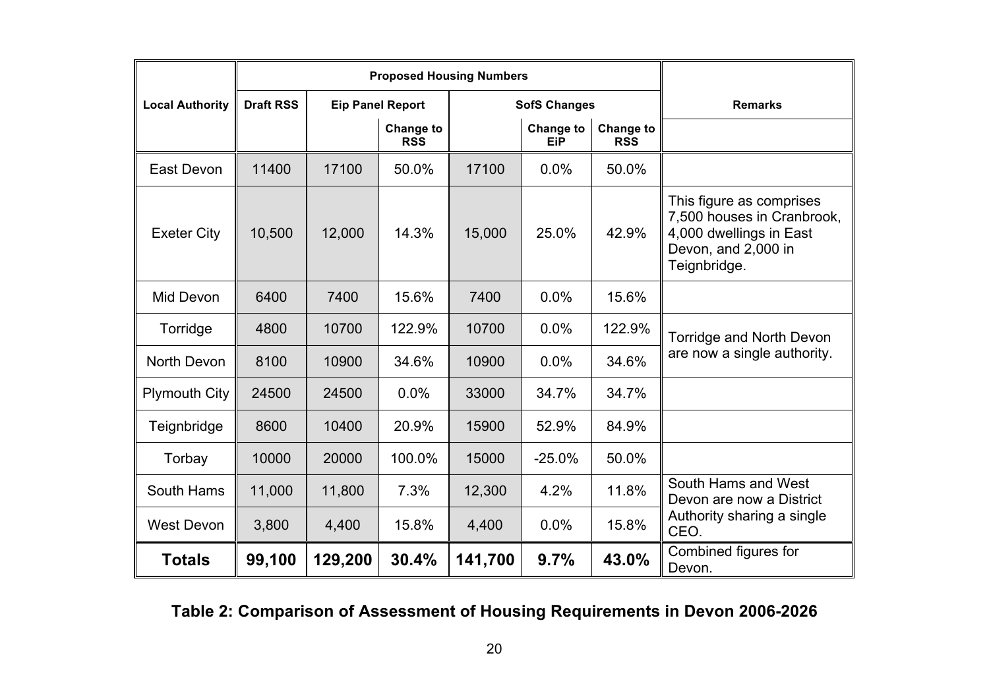|                        |                  | <b>Proposed Housing Numbers</b> |                         |         |                         |                         |                                                                                                                          |
|------------------------|------------------|---------------------------------|-------------------------|---------|-------------------------|-------------------------|--------------------------------------------------------------------------------------------------------------------------|
| <b>Local Authority</b> | <b>Draft RSS</b> | <b>Eip Panel Report</b>         |                         |         | <b>SofS Changes</b>     | <b>Remarks</b>          |                                                                                                                          |
|                        |                  |                                 | Change to<br><b>RSS</b> |         | Change to<br><b>EiP</b> | Change to<br><b>RSS</b> |                                                                                                                          |
| East Devon             | 11400            | 17100                           | 50.0%                   | 17100   | 0.0%                    | 50.0%                   |                                                                                                                          |
| <b>Exeter City</b>     | 10,500           | 12,000                          | 14.3%                   | 15,000  | 25.0%                   | 42.9%                   | This figure as comprises<br>7,500 houses in Cranbrook,<br>4,000 dwellings in East<br>Devon, and 2,000 in<br>Teignbridge. |
| Mid Devon              | 6400             | 7400                            | 15.6%                   | 7400    | 0.0%                    | 15.6%                   |                                                                                                                          |
| Torridge               | 4800             | 10700                           | 122.9%                  | 10700   | 0.0%                    | 122.9%                  | Torridge and North Devon                                                                                                 |
| North Devon            | 8100             | 10900                           | 34.6%                   | 10900   | 0.0%                    | 34.6%                   | are now a single authority.                                                                                              |
| <b>Plymouth City</b>   | 24500            | 24500                           | 0.0%                    | 33000   | 34.7%                   | 34.7%                   |                                                                                                                          |
| Teignbridge            | 8600             | 10400                           | 20.9%                   | 15900   | 52.9%                   | 84.9%                   |                                                                                                                          |
| Torbay                 | 10000            | 20000                           | 100.0%                  | 15000   | $-25.0%$                | 50.0%                   |                                                                                                                          |
| South Hams             | 11,000           | 11,800                          | 7.3%                    | 12,300  | 4.2%                    | 11.8%                   | South Hams and West<br>Devon are now a District                                                                          |
| <b>West Devon</b>      | 3,800            | 4,400                           | 15.8%                   | 4,400   | 0.0%                    | 15.8%                   | Authority sharing a single<br>CEO.                                                                                       |
| <b>Totals</b>          | 99,100           | 129,200                         | 30.4%                   | 141,700 | 9.7%                    | 43.0%                   | Combined figures for<br>Devon.                                                                                           |

**Table 2: Comparison of Assessment of Housing Requirements in Devon 2006-2026**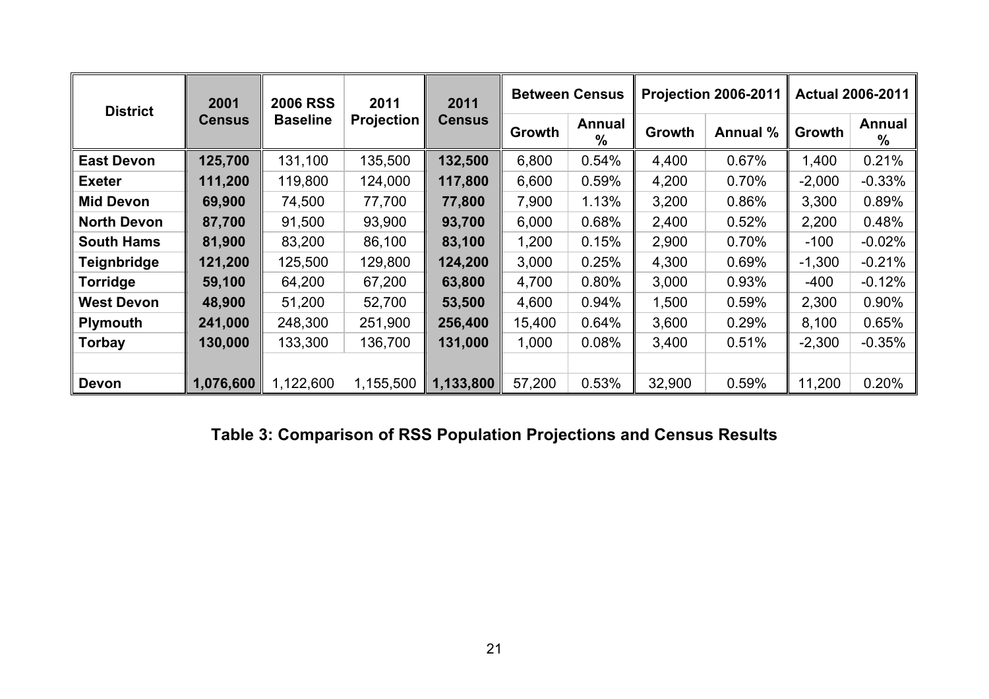| <b>District</b>    | 2001          | <b>2006 RSS</b> | 2011<br><b>Projection</b> | 2011<br><b>Census</b> |               | <b>Between Census</b> |        | <b>Projection 2006-2011</b> | <b>Actual 2006-2011</b> |             |
|--------------------|---------------|-----------------|---------------------------|-----------------------|---------------|-----------------------|--------|-----------------------------|-------------------------|-------------|
|                    | <b>Census</b> | <b>Baseline</b> |                           |                       | <b>Growth</b> | Annual<br>$\%$        | Growth | Annual %                    | Growth                  | Annual<br>% |
| <b>East Devon</b>  | 125,700       | 131,100         | 135,500                   | 132,500               | 6,800         | 0.54%                 | 4,400  | 0.67%                       | 1,400                   | 0.21%       |
| <b>Exeter</b>      | 111,200       | 119,800         | 124,000                   | 117,800               | 6,600         | 0.59%                 | 4,200  | 0.70%                       | $-2,000$                | $-0.33%$    |
| <b>Mid Devon</b>   | 69,900        | 74,500          | 77,700                    | 77,800                | 7,900         | 1.13%                 | 3,200  | 0.86%                       | 3,300                   | 0.89%       |
| <b>North Devon</b> | 87,700        | 91,500          | 93,900                    | 93,700                | 6,000         | 0.68%                 | 2,400  | 0.52%                       | 2,200                   | 0.48%       |
| <b>South Hams</b>  | 81,900        | 83,200          | 86,100                    | 83,100                | 1,200         | 0.15%                 | 2,900  | 0.70%                       | $-100$                  | $-0.02%$    |
| <b>Teignbridge</b> | 121,200       | 125,500         | 129,800                   | 124,200               | 3,000         | 0.25%                 | 4,300  | 0.69%                       | $-1,300$                | $-0.21%$    |
| Torridge           | 59,100        | 64,200          | 67,200                    | 63,800                | 4,700         | 0.80%                 | 3,000  | 0.93%                       | $-400$                  | $-0.12%$    |
| <b>West Devon</b>  | 48,900        | 51,200          | 52,700                    | 53,500                | 4,600         | 0.94%                 | 1,500  | 0.59%                       | 2,300                   | 0.90%       |
| <b>Plymouth</b>    | 241,000       | 248,300         | 251,900                   | 256,400               | 15,400        | 0.64%                 | 3,600  | 0.29%                       | 8,100                   | 0.65%       |
| Torbay             | 130,000       | 133,300         | 136,700                   | 131,000               | 1,000         | 0.08%                 | 3,400  | 0.51%                       | $-2,300$                | $-0.35%$    |
|                    |               |                 |                           |                       |               |                       |        |                             |                         |             |
| <b>Devon</b>       | 1,076,600     | 1,122,600       | 1,155,500                 | 1,133,800             | 57,200        | 0.53%                 | 32,900 | 0.59%                       | 11,200                  | 0.20%       |

**Table 3: Comparison of RSS Population Projections and Census Results**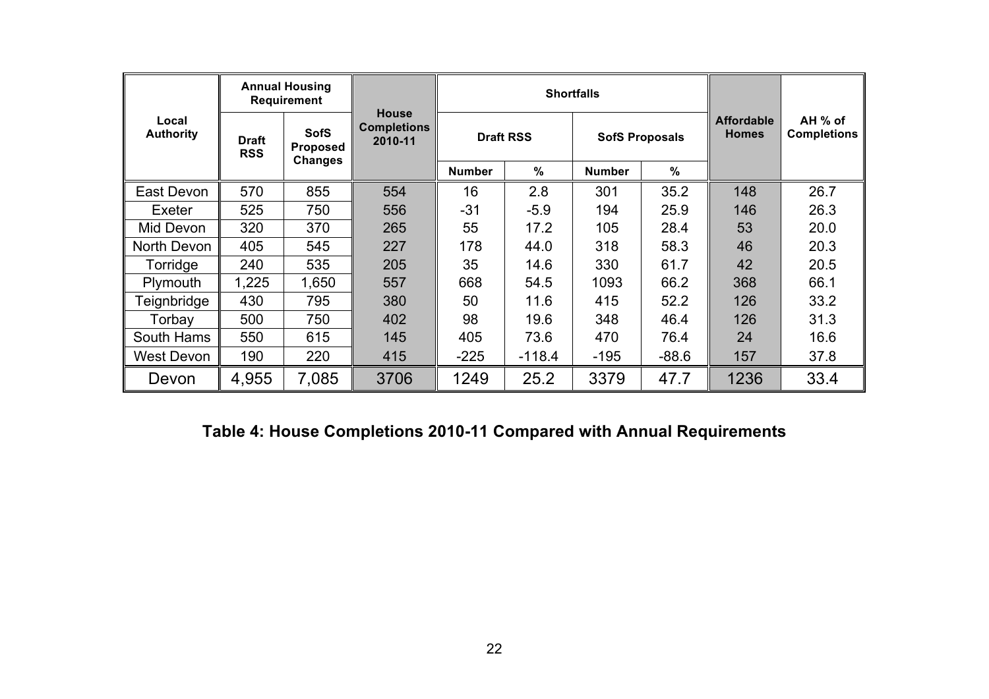|                           | <b>Annual Housing</b><br><b>Requirement</b> |                                                  |                                               |                    | <b>Shortfalls</b> |               |                       |                                   |                               |
|---------------------------|---------------------------------------------|--------------------------------------------------|-----------------------------------------------|--------------------|-------------------|---------------|-----------------------|-----------------------------------|-------------------------------|
| Local<br><b>Authority</b> | <b>Draft</b><br><b>RSS</b>                  | <b>SofS</b><br><b>Proposed</b><br><b>Changes</b> | <b>House</b><br><b>Completions</b><br>2010-11 |                    | <b>Draft RSS</b>  |               | <b>SofS Proposals</b> | <b>Affordable</b><br><b>Homes</b> | AH % of<br><b>Completions</b> |
|                           |                                             |                                                  |                                               | <b>Number</b>      | $\%$              | <b>Number</b> | $\%$                  |                                   |                               |
| East Devon                | 570                                         | 855                                              | 554                                           | 16                 | 2.8               | 301           | 35.2                  | 148                               | 26.7                          |
| Exeter                    | 525                                         | 750                                              | 556                                           | $-31$              | $-5.9$            | 194           | 25.9                  | 146                               | 26.3                          |
| Mid Devon                 | 320                                         | 370                                              | 265                                           | 55                 | 17.2              | 105           | 28.4                  | 53                                | 20.0                          |
| North Devon               | 405                                         | 545                                              | 227                                           | 178                | 44.0              | 318<br>58.3   |                       | 46                                | 20.3                          |
| Torridge                  | 240                                         | 535                                              | 205                                           | 35                 | 14.6              | 330<br>61.7   |                       | 42                                | 20.5                          |
| Plymouth                  | 1,225                                       | 1,650                                            | 557                                           | 668                | 54.5              | 1093          | 66.2                  | 368                               | 66.1                          |
| <b>Teignbridge</b>        | 430                                         | 795                                              | 380                                           | 50                 | 11.6              | 415           | 52.2                  | 126                               | 33.2                          |
| Torbay                    | 500                                         | 750                                              | 402                                           | 98                 | 19.6              | 348           | 46.4                  | 126                               | 31.3                          |
| South Hams                | 550                                         | 615                                              | 145                                           | 405                | 73.6              | 470           | 76.4                  | 24                                | 16.6                          |
| West Devon                | 190                                         | 220                                              | 415                                           | $-225$<br>$-118.4$ |                   | $-195$        | $-88.6$               | 157                               | 37.8                          |
| Devon                     | 4,955                                       | 7,085                                            | 3706                                          | 1249               | 25.2              | 3379          | 47.7                  | 1236                              | 33.4                          |

# **Table 4: House Completions 2010-11 Compared with Annual Requirements**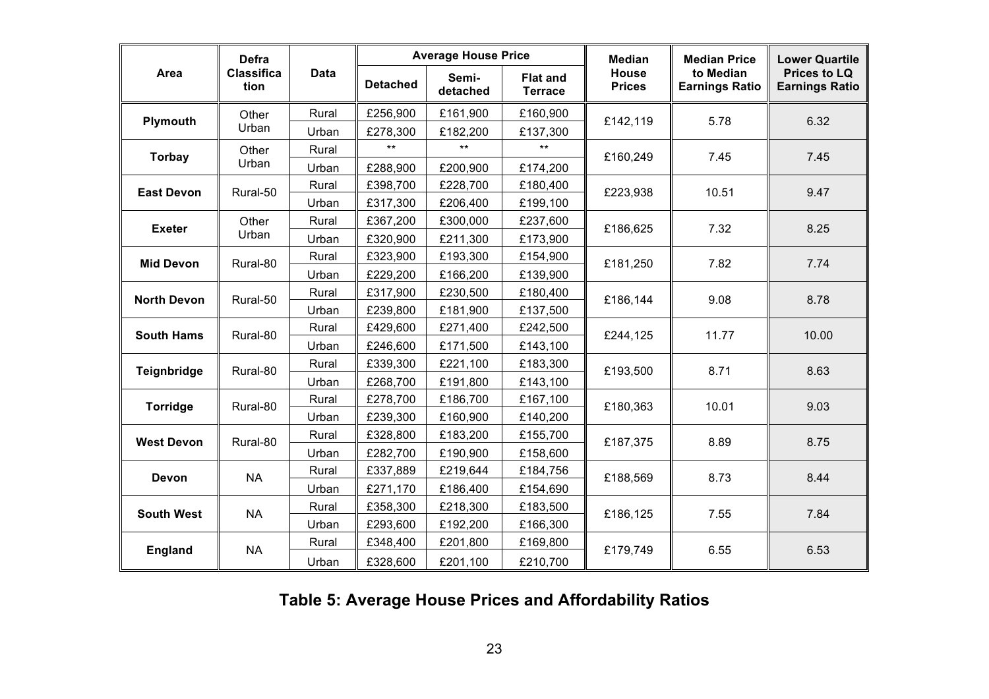|                    | <b>Defra</b>              |             |                 | <b>Average House Price</b> |                                   | <b>Median</b>                 | <b>Median Price</b>                | <b>Lower Quartile</b>                        |  |
|--------------------|---------------------------|-------------|-----------------|----------------------------|-----------------------------------|-------------------------------|------------------------------------|----------------------------------------------|--|
| Area               | <b>Classifica</b><br>tion | <b>Data</b> | <b>Detached</b> | Semi-<br>detached          | <b>Flat and</b><br><b>Terrace</b> | <b>House</b><br><b>Prices</b> | to Median<br><b>Earnings Ratio</b> | <b>Prices to LQ</b><br><b>Earnings Ratio</b> |  |
| Plymouth           | Other                     | Rural       | £256,900        | £161,900                   | £160,900                          | £142,119                      | 5.78                               | 6.32                                         |  |
|                    | Urban                     | Urban       | £278,300        | £182,200                   | £137,300                          |                               |                                    |                                              |  |
| <b>Torbay</b>      | Other                     | Rural       | $***$           | $***$                      | $***$                             | £160,249                      | 7.45                               | 7.45                                         |  |
|                    | Urban                     | Urban       | £288,900        | £200,900                   | £174,200                          |                               |                                    |                                              |  |
| <b>East Devon</b>  | Rural-50                  | Rural       | £398,700        | £228,700                   | £180,400                          | £223,938                      | 10.51                              | 9.47                                         |  |
|                    |                           | Urban       | £317,300        | £206,400                   | £199,100                          |                               |                                    |                                              |  |
| <b>Exeter</b>      | Other                     | Rural       | £367,200        | £300,000                   | £237,600                          | £186,625                      | 7.32                               | 8.25                                         |  |
|                    | Urban                     | Urban       | £320,900        | £211,300                   | £173,900                          |                               |                                    |                                              |  |
| <b>Mid Devon</b>   | Rural-80                  | Rural       | £323,900        | £193,300                   | £154,900                          | £181,250                      | 7.82                               | 7.74                                         |  |
|                    |                           | Urban       | £229,200        | £166,200                   | £139,900                          |                               |                                    |                                              |  |
| <b>North Devon</b> | Rural-50                  | Rural       | £317,900        | £230,500                   | £180,400                          | £186,144                      | 9.08                               | 8.78                                         |  |
|                    |                           | Urban       | £239,800        | £181,900                   | £137,500                          |                               |                                    |                                              |  |
| <b>South Hams</b>  | Rural-80                  | Rural       | £429,600        | £271,400                   | £242,500                          | £244,125                      | 11.77                              | 10.00                                        |  |
|                    |                           | Urban       | £246,600        | £171,500                   | £143,100                          |                               |                                    |                                              |  |
| Teignbridge        | Rural-80                  | Rural       | £339,300        | £221,100                   | £183,300                          | £193,500                      | 8.71                               | 8.63                                         |  |
|                    |                           | Urban       | £268,700        | £191,800                   | £143,100                          |                               |                                    |                                              |  |
| Torridge           | Rural-80                  | Rural       | £278,700        | £186,700                   | £167,100                          | £180,363                      | 10.01                              | 9.03                                         |  |
|                    |                           | Urban       | £239,300        | £160,900                   | £140,200                          |                               |                                    |                                              |  |
| <b>West Devon</b>  | Rural-80                  | Rural       | £328,800        | £183,200                   | £155,700                          | £187,375                      | 8.89                               | 8.75                                         |  |
|                    |                           | Urban       | £282,700        | £190,900                   | £158,600                          |                               |                                    |                                              |  |
| Devon              | <b>NA</b>                 | Rural       | £337,889        | £219,644                   | £184,756                          | £188,569                      | 8.73                               | 8.44                                         |  |
|                    |                           | Urban       | £271,170        | £186,400                   | £154,690                          |                               |                                    |                                              |  |
| <b>South West</b>  | <b>NA</b>                 | Rural       | £358,300        | £218,300                   | £183,500                          | £186,125                      | 7.55                               | 7.84                                         |  |
|                    |                           | Urban       | £293,600        | £192,200                   | £166,300                          |                               |                                    |                                              |  |
|                    | <b>NA</b>                 | Rural       | £348,400        | £201,800                   | £169,800                          | £179,749                      | 6.55                               | 6.53                                         |  |
| England            |                           | Urban       | £328,600        | £201,100                   | £210,700                          |                               |                                    |                                              |  |

**Table 5: Average House Prices and Affordability Ratios**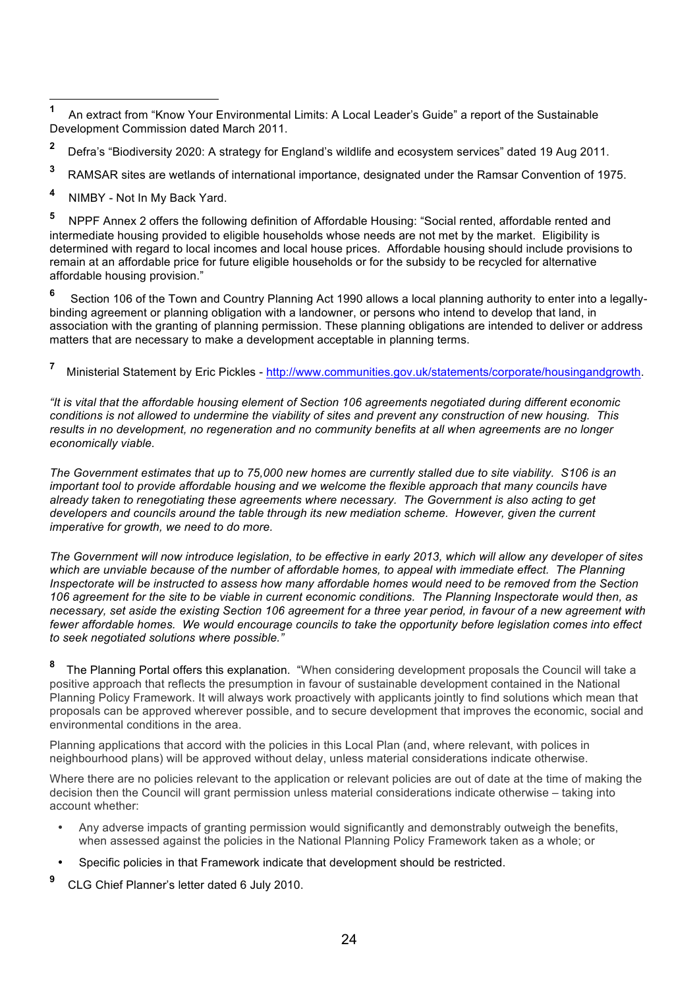**<sup>1</sup>** An extract from "Know Your Environmental Limits: A Local Leader's Guide" a report of the Sustainable Development Commission dated March 2011.

- **2** Defra's "Biodiversity 2020: A strategy for England's wildlife and ecosystem services" dated 19 Aug 2011.
- **3** RAMSAR sites are wetlands of international importance, designated under the Ramsar Convention of 1975.
- **<sup>4</sup>** NIMBY Not In My Back Yard.

**<sup>5</sup>** NPPF Annex 2 offers the following definition of Affordable Housing: "Social rented, affordable rented and intermediate housing provided to eligible households whose needs are not met by the market. Eligibility is determined with regard to local incomes and local house prices. Affordable housing should include provisions to remain at an affordable price for future eligible households or for the subsidy to be recycled for alternative affordable housing provision."

**<sup>6</sup>** Section 106 of the Town and Country Planning Act 1990 allows a local planning authority to enter into a legallybinding agreement or planning obligation with a landowner, or persons who intend to develop that land, in association with the granting of planning permission. These planning obligations are intended to deliver or address matters that are necessary to make a development acceptable in planning terms.

#### **7** Ministerial Statement by Eric Pickles - http://www.communities.gov.uk/statements/corporate/housingandgrowth.

*"It is vital that the affordable housing element of Section 106 agreements negotiated during different economic conditions is not allowed to undermine the viability of sites and prevent any construction of new housing. This results in no development, no regeneration and no community benefits at all when agreements are no longer economically viable.*

*The Government estimates that up to 75,000 new homes are currently stalled due to site viability. S106 is an important tool to provide affordable housing and we welcome the flexible approach that many councils have already taken to renegotiating these agreements where necessary. The Government is also acting to get developers and councils around the table through its new mediation scheme. However, given the current imperative for growth, we need to do more.*

*The Government will now introduce legislation, to be effective in early 2013, which will allow any developer of sites which are unviable because of the number of affordable homes, to appeal with immediate effect. The Planning Inspectorate will be instructed to assess how many affordable homes would need to be removed from the Section 106 agreement for the site to be viable in current economic conditions. The Planning Inspectorate would then, as necessary, set aside the existing Section 106 agreement for a three year period, in favour of a new agreement with fewer affordable homes. We would encourage councils to take the opportunity before legislation comes into effect to seek negotiated solutions where possible."*

**<sup>8</sup>** The Planning Portal offers this explanation. "When considering development proposals the Council will take a positive approach that reflects the presumption in favour of sustainable development contained in the National Planning Policy Framework. It will always work proactively with applicants jointly to find solutions which mean that proposals can be approved wherever possible, and to secure development that improves the economic, social and environmental conditions in the area.

Planning applications that accord with the policies in this Local Plan (and, where relevant, with polices in neighbourhood plans) will be approved without delay, unless material considerations indicate otherwise.

Where there are no policies relevant to the application or relevant policies are out of date at the time of making the decision then the Council will grant permission unless material considerations indicate otherwise – taking into account whether:

- Any adverse impacts of granting permission would significantly and demonstrably outweigh the benefits, when assessed against the policies in the National Planning Policy Framework taken as a whole; or
- Specific policies in that Framework indicate that development should be restricted.
- **9** CLG Chief Planner's letter dated 6 July 2010.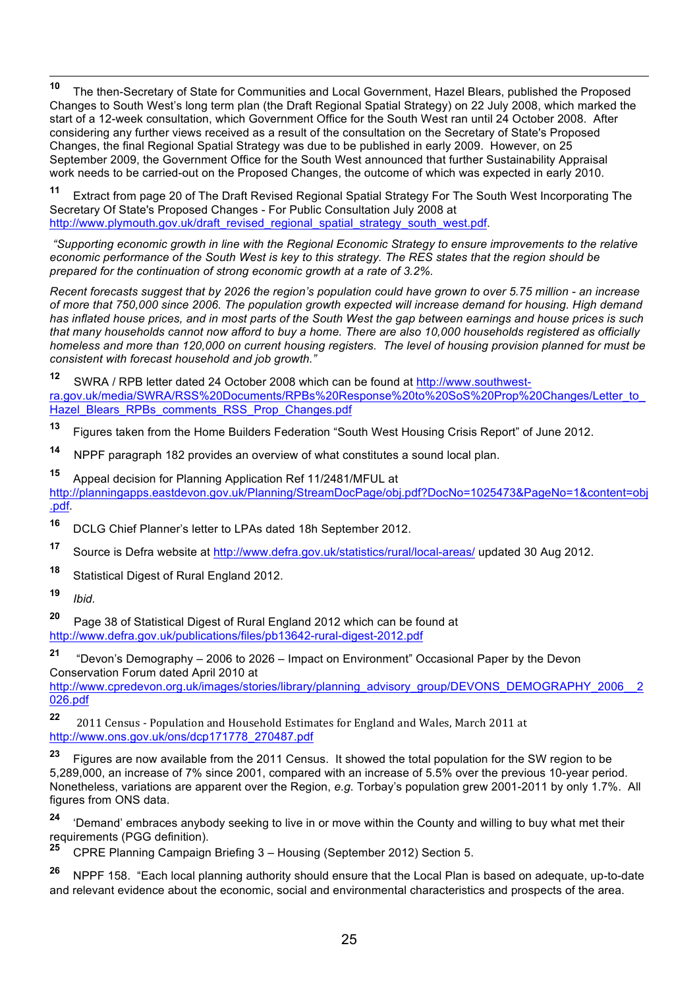**<sup>10</sup>** The then-Secretary of State for Communities and Local Government, Hazel Blears, published the Proposed Changes to South West's long term plan (the Draft Regional Spatial Strategy) on 22 July 2008, which marked the start of a 12-week consultation, which Government Office for the South West ran until 24 October 2008. After considering any further views received as a result of the consultation on the Secretary of State's Proposed Changes, the final Regional Spatial Strategy was due to be published in early 2009. However, on 25 September 2009, the Government Office for the South West announced that further Sustainability Appraisal work needs to be carried-out on the Proposed Changes, the outcome of which was expected in early 2010.

**<sup>11</sup>** Extract from page 20 of The Draft Revised Regional Spatial Strategy For The South West Incorporating The Secretary Of State's Proposed Changes - For Public Consultation July 2008 at http://www.plymouth.gov.uk/draft\_revised\_regional\_spatial\_strategy\_south\_west.pdf.

*"Supporting economic growth in line with the Regional Economic Strategy to ensure improvements to the relative economic performance of the South West is key to this strategy. The RES states that the region should be prepared for the continuation of strong economic growth at a rate of 3.2%.*

*Recent forecasts suggest that by 2026 the region's population could have grown to over 5.75 million - an increase of more that 750,000 since 2006. The population growth expected will increase demand for housing. High demand has inflated house prices, and in most parts of the South West the gap between earnings and house prices is such that many households cannot now afford to buy a home. There are also 10,000 households registered as officially homeless and more than 120,000 on current housing registers. The level of housing provision planned for must be consistent with forecast household and job growth."*

**<sup>12</sup>** SWRA / RPB letter dated 24 October 2008 which can be found at http://www.southwestra.gov.uk/media/SWRA/RSS%20Documents/RPBs%20Response%20to%20SoS%20Prop%20Changes/Letter\_to Hazel Blears RPBs comments RSS Prop Changes.pdf

**<sup>13</sup>** Figures taken from the Home Builders Federation "South West Housing Crisis Report" of June 2012.

**<sup>14</sup>** NPPF paragraph 182 provides an overview of what constitutes a sound local plan.

**<sup>15</sup>** Appeal decision for Planning Application Ref 11/2481/MFUL at http://planningapps.eastdevon.gov.uk/Planning/StreamDocPage/obj.pdf?DocNo=1025473&PageNo=1&content=obj

.pdf.

- **<sup>16</sup>** DCLG Chief Planner's letter to LPAs dated 18h September 2012.
- **<sup>17</sup>** Source is Defra website at http://www.defra.gov.uk/statistics/rural/local-areas/ updated 30 Aug 2012.
- **<sup>18</sup>** Statistical Digest of Rural England 2012.

**<sup>19</sup>** *Ibid.*

**<sup>20</sup>** Page 38 of Statistical Digest of Rural England 2012 which can be found at http://www.defra.gov.uk/publications/files/pb13642-rural-digest-2012.pdf

**<sup>21</sup>** "Devon's Demography – 2006 to 2026 – Impact on Environment" Occasional Paper by the Devon Conservation Forum dated April 2010 at

http://www.cpredevon.org.uk/images/stories/library/planning\_advisory\_group/DEVONS\_DEMOGRAPHY\_2006\_\_2 026.pdf

**22** 2011 Census - Population and Household Estimates for England and Wales, March 2011 at http://www.ons.gov.uk/ons/dcp171778\_270487.pdf

**<sup>23</sup>** Figures are now available from the 2011 Census. It showed the total population for the SW region to be 5,289,000, an increase of 7% since 2001, compared with an increase of 5.5% over the previous 10-year period. Nonetheless, variations are apparent over the Region, *e.g.* Torbay's population grew 2001-2011 by only 1.7%. All figures from ONS data.

**<sup>24</sup>** 'Demand' embraces anybody seeking to live in or move within the County and willing to buy what met their requirements (PGG definition).<br>25 CRBE Planning Compoiso

**<sup>25</sup>** CPRE Planning Campaign Briefing 3 – Housing (September 2012) Section 5.

**<sup>26</sup>** NPPF 158. "Each local planning authority should ensure that the Local Plan is based on adequate, up-to-date and relevant evidence about the economic, social and environmental characteristics and prospects of the area.